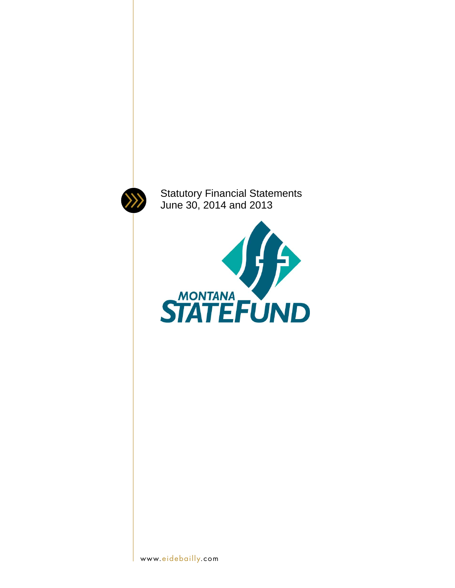

Statutory Financial Statements June 30, 2014 and 2013

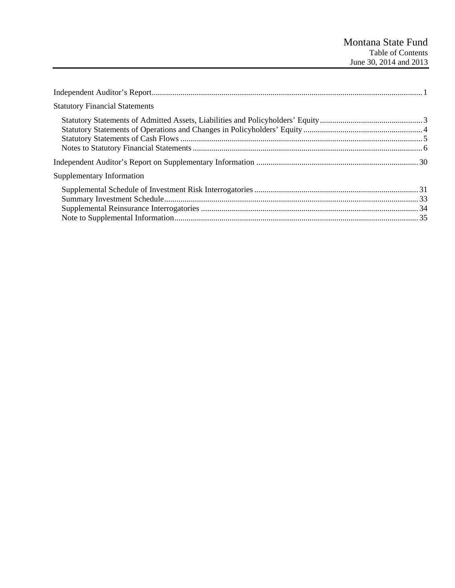| <b>Statutory Financial Statements</b> |  |
|---------------------------------------|--|
|                                       |  |
|                                       |  |
| Supplementary Information             |  |
|                                       |  |
|                                       |  |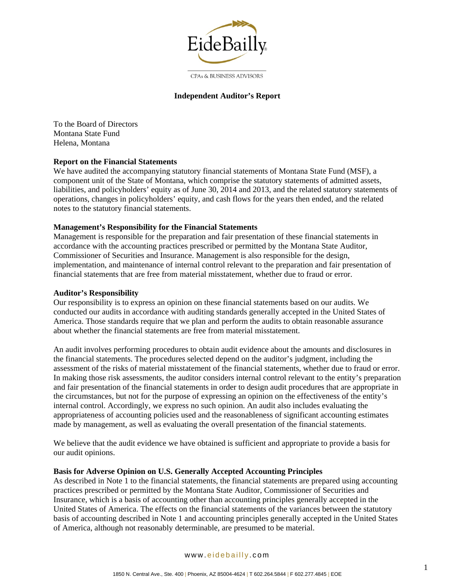

**CPAs & BUSINESS ADVISORS** 

### **Independent Auditor's Report**

To the Board of Directors Montana State Fund Helena, Montana

#### **Report on the Financial Statements**

We have audited the accompanying statutory financial statements of Montana State Fund (MSF), a component unit of the State of Montana, which comprise the statutory statements of admitted assets, liabilities, and policyholders' equity as of June 30, 2014 and 2013, and the related statutory statements of operations, changes in policyholders' equity, and cash flows for the years then ended, and the related notes to the statutory financial statements.

### **Management's Responsibility for the Financial Statements**

Management is responsible for the preparation and fair presentation of these financial statements in accordance with the accounting practices prescribed or permitted by the Montana State Auditor, Commissioner of Securities and Insurance. Management is also responsible for the design, implementation, and maintenance of internal control relevant to the preparation and fair presentation of financial statements that are free from material misstatement, whether due to fraud or error.

#### **Auditor's Responsibility**

Our responsibility is to express an opinion on these financial statements based on our audits. We conducted our audits in accordance with auditing standards generally accepted in the United States of America. Those standards require that we plan and perform the audits to obtain reasonable assurance about whether the financial statements are free from material misstatement.

An audit involves performing procedures to obtain audit evidence about the amounts and disclosures in the financial statements. The procedures selected depend on the auditor's judgment, including the assessment of the risks of material misstatement of the financial statements, whether due to fraud or error. In making those risk assessments, the auditor considers internal control relevant to the entity's preparation and fair presentation of the financial statements in order to design audit procedures that are appropriate in the circumstances, but not for the purpose of expressing an opinion on the effectiveness of the entity's internal control. Accordingly, we express no such opinion. An audit also includes evaluating the appropriateness of accounting policies used and the reasonableness of significant accounting estimates made by management, as well as evaluating the overall presentation of the financial statements.

We believe that the audit evidence we have obtained is sufficient and appropriate to provide a basis for our audit opinions.

#### **Basis for Adverse Opinion on U.S. Generally Accepted Accounting Principles**

As described in Note 1 to the financial statements, the financial statements are prepared using accounting practices prescribed or permitted by the Montana State Auditor, Commissioner of Securities and Insurance, which is a basis of accounting other than accounting principles generally accepted in the United States of America. The effects on the financial statements of the variances between the statutory basis of accounting described in Note 1 and accounting principles generally accepted in the United States of America, although not reasonably determinable, are presumed to be material.

#### www. eidebailly .com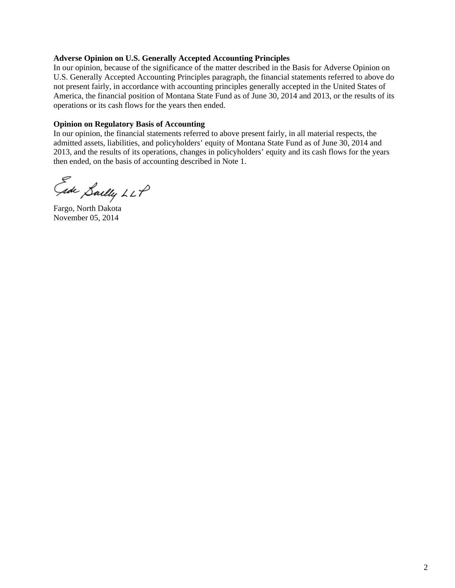#### **Adverse Opinion on U.S. Generally Accepted Accounting Principles**

In our opinion, because of the significance of the matter described in the Basis for Adverse Opinion on U.S. Generally Accepted Accounting Principles paragraph, the financial statements referred to above do not present fairly, in accordance with accounting principles generally accepted in the United States of America, the financial position of Montana State Fund as of June 30, 2014 and 2013, or the results of its operations or its cash flows for the years then ended.

#### **Opinion on Regulatory Basis of Accounting**

In our opinion, the financial statements referred to above present fairly, in all material respects, the admitted assets, liabilities, and policyholders' equity of Montana State Fund as of June 30, 2014 and 2013, and the results of its operations, changes in policyholders' equity and its cash flows for the years then ended, on the basis of accounting described in Note 1.

Eade Saelly LLP

Fargo, North Dakota November 05, 2014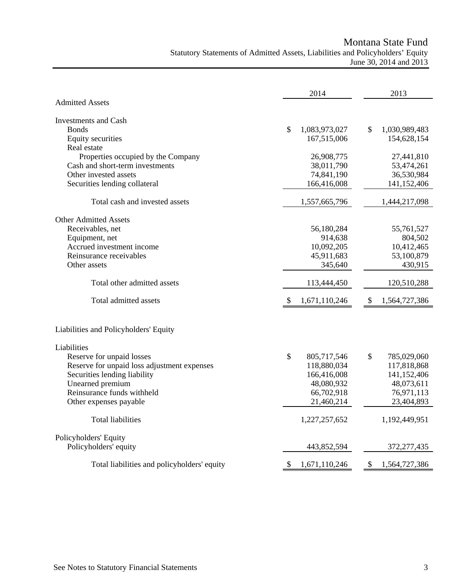Montana State Fund

# Statutory Statements of Admitted Assets, Liabilities and Policyholders' Equity June 30, 2014 and 2013

|                                             | 2014                | 2013                |
|---------------------------------------------|---------------------|---------------------|
| <b>Admitted Assets</b>                      |                     |                     |
| Investments and Cash                        |                     |                     |
| <b>Bonds</b>                                | \$<br>1,083,973,027 | \$<br>1,030,989,483 |
| Equity securities                           | 167,515,006         | 154,628,154         |
| Real estate                                 |                     |                     |
| Properties occupied by the Company          | 26,908,775          | 27,441,810          |
| Cash and short-term investments             | 38,011,790          | 53,474,261          |
| Other invested assets                       | 74,841,190          | 36,530,984          |
| Securities lending collateral               | 166,416,008         | 141,152,406         |
| Total cash and invested assets              | 1,557,665,796       | 1,444,217,098       |
| <b>Other Admitted Assets</b>                |                     |                     |
| Receivables, net                            | 56,180,284          | 55,761,527          |
| Equipment, net                              | 914,638             | 804,502             |
| Accrued investment income                   | 10,092,205          | 10,412,465          |
| Reinsurance receivables                     | 45,911,683          | 53,100,879          |
| Other assets                                | 345,640             | 430,915             |
| Total other admitted assets                 | 113,444,450         | 120,510,288         |
| Total admitted assets                       | 1,671,110,246<br>\$ | 1,564,727,386<br>\$ |
| Liabilities and Policyholders' Equity       |                     |                     |
| Liabilities                                 |                     |                     |
| Reserve for unpaid losses                   | \$<br>805,717,546   | \$<br>785,029,060   |
| Reserve for unpaid loss adjustment expenses | 118,880,034         | 117,818,868         |
| Securities lending liability                | 166,416,008         | 141,152,406         |
| Unearned premium                            | 48,080,932          | 48,073,611          |
| Reinsurance funds withheld                  | 66,702,918          | 76,971,113          |
| Other expenses payable                      | 21,460,214          | 23,404,893          |
| <b>Total liabilities</b>                    | 1,227,257,652       | 1,192,449,951       |
| Policyholders' Equity                       |                     |                     |
| Policyholders' equity                       | 443,852,594         | 372, 277, 435       |
| Total liabilities and policyholders' equity | 1,671,110,246<br>\$ | 1,564,727,386<br>\$ |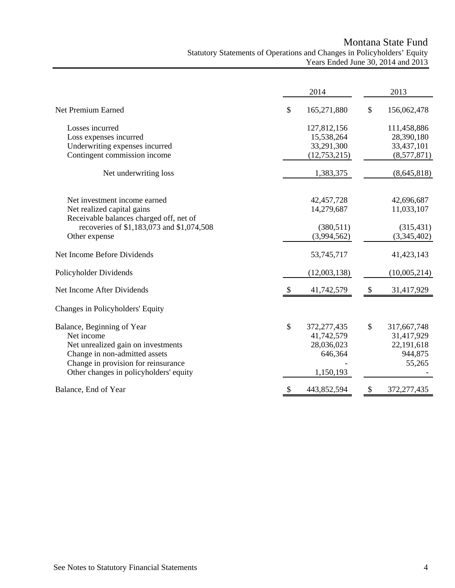# Montana State Fund Statutory Statements of Operations and Changes in Policyholders' Equity Years Ended June 30, 2014 and 2013

|                                           |    | 2014         |               | 2013         |
|-------------------------------------------|----|--------------|---------------|--------------|
| Net Premium Earned                        | \$ | 165,271,880  | \$            | 156,062,478  |
| Losses incurred                           |    | 127,812,156  |               | 111,458,886  |
| Loss expenses incurred                    |    | 15,538,264   |               | 28,390,180   |
| Underwriting expenses incurred            |    | 33,291,300   |               | 33,437,101   |
| Contingent commission income              |    | (12,753,215) |               | (8,577,871)  |
| Net underwriting loss                     |    | 1,383,375    |               | (8,645,818)  |
| Net investment income earned              |    | 42,457,728   |               | 42,696,687   |
| Net realized capital gains                |    | 14,279,687   |               | 11,033,107   |
| Receivable balances charged off, net of   |    |              |               |              |
| recoveries of \$1,183,073 and \$1,074,508 |    | (380,511)    |               | (315, 431)   |
| Other expense                             |    | (3,994,562)  |               | (3,345,402)  |
| Net Income Before Dividends               |    | 53,745,717   |               | 41,423,143   |
| Policyholder Dividends                    |    | (12,003,138) |               | (10,005,214) |
| Net Income After Dividends                |    | 41,742,579   | $\mathcal{S}$ | 31,417,929   |
| Changes in Policyholders' Equity          |    |              |               |              |
| Balance, Beginning of Year                | \$ | 372,277,435  | \$            | 317,667,748  |
| Net income                                |    | 41,742,579   |               | 31,417,929   |
| Net unrealized gain on investments        |    | 28,036,023   |               | 22,191,618   |
| Change in non-admitted assets             |    | 646,364      |               | 944,875      |
| Change in provision for reinsurance       |    |              |               | 55,265       |
| Other changes in policyholders' equity    |    | 1,150,193    |               |              |
| Balance, End of Year                      | S  | 443,852,594  | S             | 372,277,435  |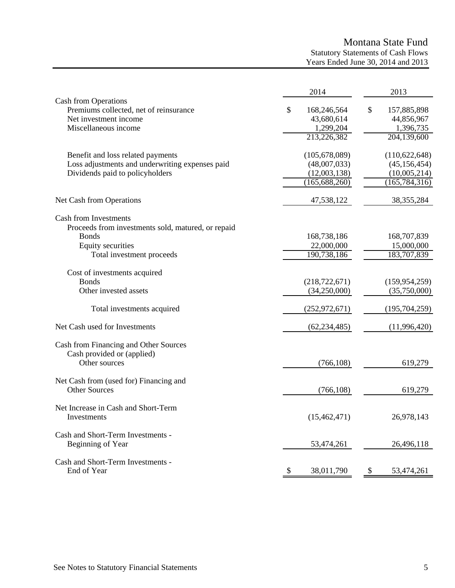# Montana State Fund

Statutory Statements of Cash Flows Years Ended June 30, 2014 and 2013

|                                                                                                                 | 2014                                         | 2013                                         |
|-----------------------------------------------------------------------------------------------------------------|----------------------------------------------|----------------------------------------------|
| Cash from Operations<br>Premiums collected, net of reinsurance<br>Net investment income<br>Miscellaneous income | \$<br>168,246,564<br>43,680,614<br>1,299,204 | \$<br>157,885,898<br>44,856,967<br>1,396,735 |
|                                                                                                                 | 213,226,382                                  | 204,139,600                                  |
| Benefit and loss related payments<br>Loss adjustments and underwriting expenses paid                            | (105, 678, 089)<br>(48,007,033)              | (110, 622, 648)<br>(45, 156, 454)            |
| Dividends paid to policyholders                                                                                 | (12,003,138)<br>(165, 688, 260)              | (10,005,214)<br>(165, 784, 316)              |
| Net Cash from Operations                                                                                        | 47,538,122                                   | 38, 355, 284                                 |
| <b>Cash from Investments</b><br>Proceeds from investments sold, matured, or repaid                              |                                              |                                              |
| <b>Bonds</b>                                                                                                    | 168,738,186                                  | 168,707,839                                  |
| Equity securities<br>Total investment proceeds                                                                  | 22,000,000<br>190,738,186                    | 15,000,000<br>183,707,839                    |
|                                                                                                                 |                                              |                                              |
| Cost of investments acquired                                                                                    |                                              |                                              |
| <b>Bonds</b>                                                                                                    | (218, 722, 671)                              | (159, 954, 259)                              |
| Other invested assets                                                                                           | (34,250,000)                                 | (35,750,000)                                 |
| Total investments acquired                                                                                      | (252, 972, 671)                              | (195, 704, 259)                              |
| Net Cash used for Investments                                                                                   | (62, 234, 485)                               | (11,996,420)                                 |
| Cash from Financing and Other Sources                                                                           |                                              |                                              |
| Cash provided or (applied)<br>Other sources                                                                     | (766, 108)                                   | 619,279                                      |
| Net Cash from (used for) Financing and<br><b>Other Sources</b>                                                  | (766, 108)                                   | 619,279                                      |
|                                                                                                                 |                                              |                                              |
| Net Increase in Cash and Short-Term<br>Investments                                                              | (15, 462, 471)                               | 26,978,143                                   |
| Cash and Short-Term Investments -<br>Beginning of Year                                                          | 53,474,261                                   | 26,496,118                                   |
|                                                                                                                 |                                              |                                              |
| Cash and Short-Term Investments -<br>End of Year                                                                | 38,011,790<br><sup>8</sup>                   | 53,474,261<br>\$                             |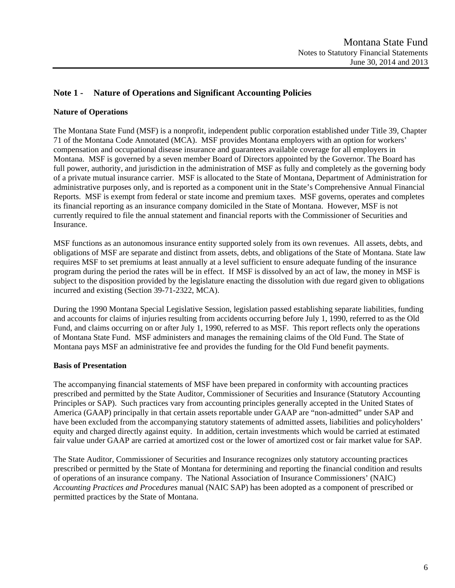# **Note 1 - Nature of Operations and Significant Accounting Policies**

### **Nature of Operations**

The Montana State Fund (MSF) is a nonprofit, independent public corporation established under Title 39, Chapter 71 of the Montana Code Annotated (MCA). MSF provides Montana employers with an option for workers' compensation and occupational disease insurance and guarantees available coverage for all employers in Montana. MSF is governed by a seven member Board of Directors appointed by the Governor. The Board has full power, authority, and jurisdiction in the administration of MSF as fully and completely as the governing body of a private mutual insurance carrier. MSF is allocated to the State of Montana, Department of Administration for administrative purposes only, and is reported as a component unit in the State's Comprehensive Annual Financial Reports. MSF is exempt from federal or state income and premium taxes. MSF governs, operates and completes its financial reporting as an insurance company domiciled in the State of Montana. However, MSF is not currently required to file the annual statement and financial reports with the Commissioner of Securities and Insurance.

MSF functions as an autonomous insurance entity supported solely from its own revenues. All assets, debts, and obligations of MSF are separate and distinct from assets, debts, and obligations of the State of Montana. State law requires MSF to set premiums at least annually at a level sufficient to ensure adequate funding of the insurance program during the period the rates will be in effect. If MSF is dissolved by an act of law, the money in MSF is subject to the disposition provided by the legislature enacting the dissolution with due regard given to obligations incurred and existing (Section 39-71-2322, MCA).

During the 1990 Montana Special Legislative Session, legislation passed establishing separate liabilities, funding and accounts for claims of injuries resulting from accidents occurring before July 1, 1990, referred to as the Old Fund, and claims occurring on or after July 1, 1990, referred to as MSF. This report reflects only the operations of Montana State Fund. MSF administers and manages the remaining claims of the Old Fund. The State of Montana pays MSF an administrative fee and provides the funding for the Old Fund benefit payments.

# **Basis of Presentation**

The accompanying financial statements of MSF have been prepared in conformity with accounting practices prescribed and permitted by the State Auditor, Commissioner of Securities and Insurance (Statutory Accounting Principles or SAP). Such practices vary from accounting principles generally accepted in the United States of America (GAAP) principally in that certain assets reportable under GAAP are "non-admitted" under SAP and have been excluded from the accompanying statutory statements of admitted assets, liabilities and policyholders' equity and charged directly against equity. In addition, certain investments which would be carried at estimated fair value under GAAP are carried at amortized cost or the lower of amortized cost or fair market value for SAP.

The State Auditor, Commissioner of Securities and Insurance recognizes only statutory accounting practices prescribed or permitted by the State of Montana for determining and reporting the financial condition and results of operations of an insurance company. The National Association of Insurance Commissioners' (NAIC) *Accounting Practices and Procedures* manual (NAIC SAP) has been adopted as a component of prescribed or permitted practices by the State of Montana.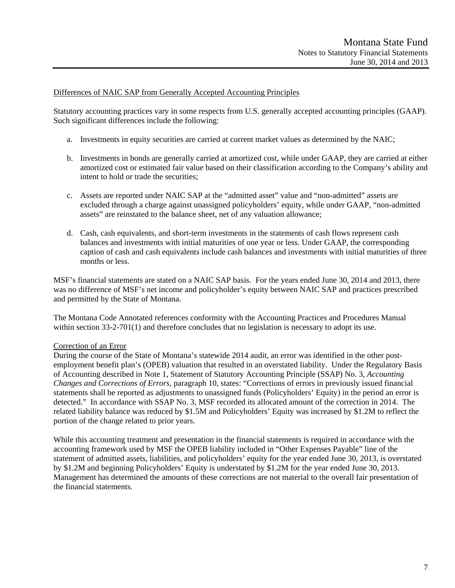#### Differences of NAIC SAP from Generally Accepted Accounting Principles

Statutory accounting practices vary in some respects from U.S. generally accepted accounting principles (GAAP). Such significant differences include the following:

- a. Investments in equity securities are carried at current market values as determined by the NAIC;
- b. Investments in bonds are generally carried at amortized cost, while under GAAP, they are carried at either amortized cost or estimated fair value based on their classification according to the Company's ability and intent to hold or trade the securities;
- c. Assets are reported under NAIC SAP at the "admitted asset" value and "non-admitted" assets are excluded through a charge against unassigned policyholders' equity, while under GAAP, "non-admitted assets" are reinstated to the balance sheet, net of any valuation allowance;
- d. Cash, cash equivalents, and short-term investments in the statements of cash flows represent cash balances and investments with initial maturities of one year or less. Under GAAP, the corresponding caption of cash and cash equivalents include cash balances and investments with initial maturities of three months or less.

MSF's financial statements are stated on a NAIC SAP basis. For the years ended June 30, 2014 and 2013, there was no difference of MSF's net income and policyholder's equity between NAIC SAP and practices prescribed and permitted by the State of Montana.

The Montana Code Annotated references conformity with the Accounting Practices and Procedures Manual within section 33-2-701(1) and therefore concludes that no legislation is necessary to adopt its use.

# Correction of an Error

During the course of the State of Montana's statewide 2014 audit, an error was identified in the other postemployment benefit plan's (OPEB) valuation that resulted in an overstated liability. Under the Regulatory Basis of Accounting described in Note 1, Statement of Statutory Accounting Principle (SSAP) No. 3, *Accounting Changes and Corrections of Errors*, paragraph 10, states: "Corrections of errors in previously issued financial statements shall be reported as adjustments to unassigned funds (Policyholders' Equity) in the period an error is detected." In accordance with SSAP No. 3, MSF recorded its allocated amount of the correction in 2014. The related liability balance was reduced by \$1.5M and Policyholders' Equity was increased by \$1.2M to reflect the portion of the change related to prior years.

While this accounting treatment and presentation in the financial statements is required in accordance with the accounting framework used by MSF the OPEB liability included in "Other Expenses Payable" line of the statement of admitted assets, liabilities, and policyholders' equity for the year ended June 30, 2013, is overstated by \$1.2M and beginning Policyholders' Equity is understated by \$1.2M for the year ended June 30, 2013. Management has determined the amounts of these corrections are not material to the overall fair presentation of the financial statements.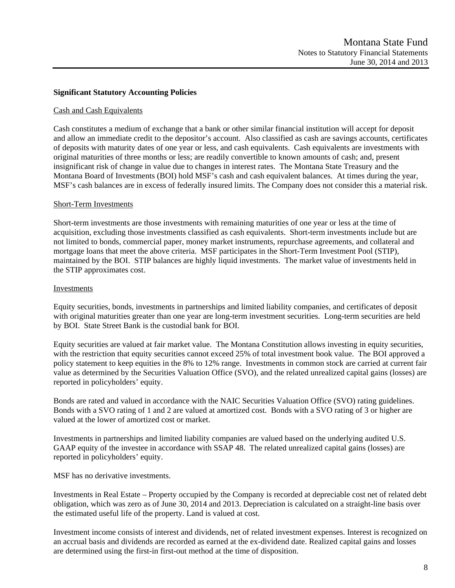#### **Significant Statutory Accounting Policies**

#### Cash and Cash Equivalents

Cash constitutes a medium of exchange that a bank or other similar financial institution will accept for deposit and allow an immediate credit to the depositor's account. Also classified as cash are savings accounts, certificates of deposits with maturity dates of one year or less, and cash equivalents. Cash equivalents are investments with original maturities of three months or less; are readily convertible to known amounts of cash; and, present insignificant risk of change in value due to changes in interest rates. The Montana State Treasury and the Montana Board of Investments (BOI) hold MSF's cash and cash equivalent balances. At times during the year, MSF's cash balances are in excess of federally insured limits. The Company does not consider this a material risk.

#### Short-Term Investments

Short-term investments are those investments with remaining maturities of one year or less at the time of acquisition, excluding those investments classified as cash equivalents. Short-term investments include but are not limited to bonds, commercial paper, money market instruments, repurchase agreements, and collateral and mortgage loans that meet the above criteria. MSF participates in the Short-Term Investment Pool (STIP), maintained by the BOI. STIP balances are highly liquid investments. The market value of investments held in the STIP approximates cost.

#### Investments

Equity securities, bonds, investments in partnerships and limited liability companies, and certificates of deposit with original maturities greater than one year are long-term investment securities. Long-term securities are held by BOI. State Street Bank is the custodial bank for BOI.

Equity securities are valued at fair market value. The Montana Constitution allows investing in equity securities, with the restriction that equity securities cannot exceed 25% of total investment book value. The BOI approved a policy statement to keep equities in the 8% to 12% range. Investments in common stock are carried at current fair value as determined by the Securities Valuation Office (SVO), and the related unrealized capital gains (losses) are reported in policyholders' equity.

Bonds are rated and valued in accordance with the NAIC Securities Valuation Office (SVO) rating guidelines. Bonds with a SVO rating of 1 and 2 are valued at amortized cost. Bonds with a SVO rating of 3 or higher are valued at the lower of amortized cost or market.

Investments in partnerships and limited liability companies are valued based on the underlying audited U.S. GAAP equity of the investee in accordance with SSAP 48. The related unrealized capital gains (losses) are reported in policyholders' equity.

MSF has no derivative investments.

Investments in Real Estate – Property occupied by the Company is recorded at depreciable cost net of related debt obligation, which was zero as of June 30, 2014 and 2013. Depreciation is calculated on a straight-line basis over the estimated useful life of the property. Land is valued at cost.

Investment income consists of interest and dividends, net of related investment expenses. Interest is recognized on an accrual basis and dividends are recorded as earned at the ex-dividend date. Realized capital gains and losses are determined using the first-in first-out method at the time of disposition.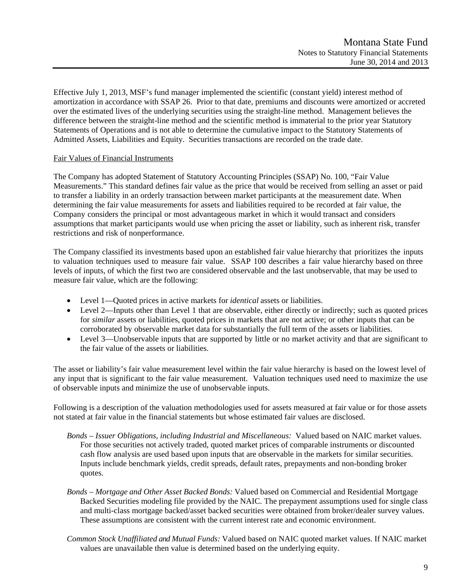Effective July 1, 2013, MSF's fund manager implemented the scientific (constant yield) interest method of amortization in accordance with SSAP 26. Prior to that date, premiums and discounts were amortized or accreted over the estimated lives of the underlying securities using the straight-line method. Management believes the difference between the straight-line method and the scientific method is immaterial to the prior year Statutory Statements of Operations and is not able to determine the cumulative impact to the Statutory Statements of Admitted Assets, Liabilities and Equity. Securities transactions are recorded on the trade date.

#### Fair Values of Financial Instruments

The Company has adopted Statement of Statutory Accounting Principles (SSAP) No. 100, "Fair Value Measurements." This standard defines fair value as the price that would be received from selling an asset or paid to transfer a liability in an orderly transaction between market participants at the measurement date. When determining the fair value measurements for assets and liabilities required to be recorded at fair value, the Company considers the principal or most advantageous market in which it would transact and considers assumptions that market participants would use when pricing the asset or liability, such as inherent risk, transfer restrictions and risk of nonperformance.

The Company classified its investments based upon an established fair value hierarchy that prioritizes the inputs to valuation techniques used to measure fair value. SSAP 100 describes a fair value hierarchy based on three levels of inputs, of which the first two are considered observable and the last unobservable, that may be used to measure fair value, which are the following:

- Level 1—Quoted prices in active markets for *identical* assets or liabilities.
- Level 2—Inputs other than Level 1 that are observable, either directly or indirectly; such as quoted prices for *similar* assets or liabilities, quoted prices in markets that are not active; or other inputs that can be corroborated by observable market data for substantially the full term of the assets or liabilities.
- Level 3—Unobservable inputs that are supported by little or no market activity and that are significant to the fair value of the assets or liabilities.

The asset or liability's fair value measurement level within the fair value hierarchy is based on the lowest level of any input that is significant to the fair value measurement. Valuation techniques used need to maximize the use of observable inputs and minimize the use of unobservable inputs.

Following is a description of the valuation methodologies used for assets measured at fair value or for those assets not stated at fair value in the financial statements but whose estimated fair values are disclosed.

- *Bonds Issuer Obligations, including Industrial and Miscellaneous:* Valued based on NAIC market values. For those securities not actively traded, quoted market prices of comparable instruments or discounted cash flow analysis are used based upon inputs that are observable in the markets for similar securities. Inputs include benchmark yields, credit spreads, default rates, prepayments and non-bonding broker quotes.
- *Bonds Mortgage and Other Asset Backed Bonds:* Valued based on Commercial and Residential Mortgage Backed Securities modeling file provided by the NAIC. The prepayment assumptions used for single class and multi-class mortgage backed/asset backed securities were obtained from broker/dealer survey values. These assumptions are consistent with the current interest rate and economic environment.
- *Common Stock Unaffiliated and Mutual Funds:* Valued based on NAIC quoted market values. If NAIC market values are unavailable then value is determined based on the underlying equity.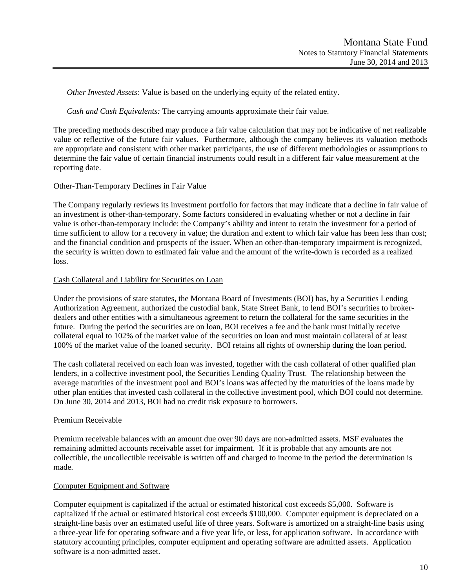*Other Invested Assets:* Value is based on the underlying equity of the related entity.

*Cash and Cash Equivalents:* The carrying amounts approximate their fair value.

The preceding methods described may produce a fair value calculation that may not be indicative of net realizable value or reflective of the future fair values. Furthermore, although the company believes its valuation methods are appropriate and consistent with other market participants, the use of different methodologies or assumptions to determine the fair value of certain financial instruments could result in a different fair value measurement at the reporting date.

#### Other-Than-Temporary Declines in Fair Value

The Company regularly reviews its investment portfolio for factors that may indicate that a decline in fair value of an investment is other-than-temporary. Some factors considered in evaluating whether or not a decline in fair value is other-than-temporary include: the Company's ability and intent to retain the investment for a period of time sufficient to allow for a recovery in value; the duration and extent to which fair value has been less than cost; and the financial condition and prospects of the issuer. When an other-than-temporary impairment is recognized, the security is written down to estimated fair value and the amount of the write-down is recorded as a realized loss.

#### Cash Collateral and Liability for Securities on Loan

Under the provisions of state statutes, the Montana Board of Investments (BOI) has, by a Securities Lending Authorization Agreement, authorized the custodial bank, State Street Bank, to lend BOI's securities to brokerdealers and other entities with a simultaneous agreement to return the collateral for the same securities in the future. During the period the securities are on loan, BOI receives a fee and the bank must initially receive collateral equal to 102% of the market value of the securities on loan and must maintain collateral of at least 100% of the market value of the loaned security. BOI retains all rights of ownership during the loan period.

The cash collateral received on each loan was invested, together with the cash collateral of other qualified plan lenders, in a collective investment pool, the Securities Lending Quality Trust. The relationship between the average maturities of the investment pool and BOI's loans was affected by the maturities of the loans made by other plan entities that invested cash collateral in the collective investment pool, which BOI could not determine. On June 30, 2014 and 2013, BOI had no credit risk exposure to borrowers.

#### Premium Receivable

Premium receivable balances with an amount due over 90 days are non-admitted assets. MSF evaluates the remaining admitted accounts receivable asset for impairment. If it is probable that any amounts are not collectible, the uncollectible receivable is written off and charged to income in the period the determination is made.

#### Computer Equipment and Software

Computer equipment is capitalized if the actual or estimated historical cost exceeds \$5,000. Software is capitalized if the actual or estimated historical cost exceeds \$100,000. Computer equipment is depreciated on a straight-line basis over an estimated useful life of three years. Software is amortized on a straight-line basis using a three-year life for operating software and a five year life, or less, for application software. In accordance with statutory accounting principles, computer equipment and operating software are admitted assets. Application software is a non-admitted asset.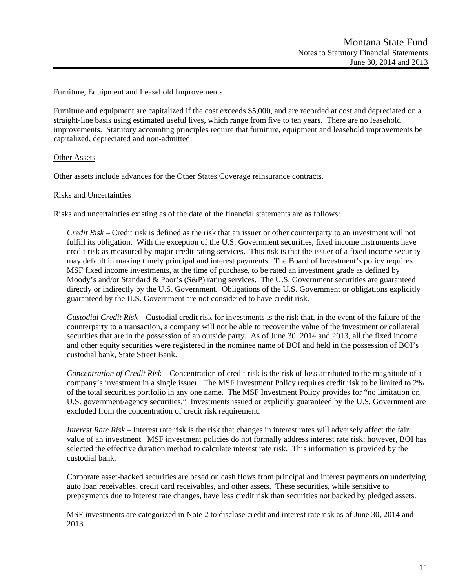#### Furniture, Equipment and Leasehold Improvements

Furniture and equipment are capitalized if the cost exceeds \$5,000, and are recorded at cost and depreciated on a straight-line basis using estimated useful lives, which range from five to ten years. There are no leasehold improvements. Statutory accounting principles require that furniture, equipment and leasehold improvements be capitalized, depreciated and non-admitted.

#### Other Assets

Other assets include advances for the Other States Coverage reinsurance contracts.

#### Risks and Uncertainties

Risks and uncertainties existing as of the date of the financial statements are as follows:

*Credit Risk* – Credit risk is defined as the risk that an issuer or other counterparty to an investment will not fulfill its obligation. With the exception of the U.S. Government securities, fixed income instruments have credit risk as measured by major credit rating services. This risk is that the issuer of a fixed income security may default in making timely principal and interest payments. The Board of Investment's policy requires MSF fixed income investments, at the time of purchase, to be rated an investment grade as defined by Moody's and/or Standard & Poor's (S&P) rating services. The U.S. Government securities are guaranteed directly or indirectly by the U.S. Government. Obligations of the U.S. Government or obligations explicitly guaranteed by the U.S. Government are not considered to have credit risk.

*Custodial Credit Risk* – Custodial credit risk for investments is the risk that, in the event of the failure of the counterparty to a transaction, a company will not be able to recover the value of the investment or collateral securities that are in the possession of an outside party. As of June 30, 2014 and 2013, all the fixed income and other equity securities were registered in the nominee name of BOI and held in the possession of BOI's custodial bank, State Street Bank.

*Concentration of Credit Risk* – Concentration of credit risk is the risk of loss attributed to the magnitude of a company's investment in a single issuer. The MSF Investment Policy requires credit risk to be limited to 2% of the total securities portfolio in any one name. The MSF Investment Policy provides for "no limitation on U.S. government/agency securities." Investments issued or explicitly guaranteed by the U.S. Government are excluded from the concentration of credit risk requirement.

*Interest Rate Risk* – Interest rate risk is the risk that changes in interest rates will adversely affect the fair value of an investment. MSF investment policies do not formally address interest rate risk; however, BOI has selected the effective duration method to calculate interest rate risk. This information is provided by the custodial bank.

Corporate asset-backed securities are based on cash flows from principal and interest payments on underlying auto loan receivables, credit card receivables, and other assets. These securities, while sensitive to prepayments due to interest rate changes, have less credit risk than securities not backed by pledged assets.

MSF investments are categorized in Note 2 to disclose credit and interest rate risk as of June 30, 2014 and 2013.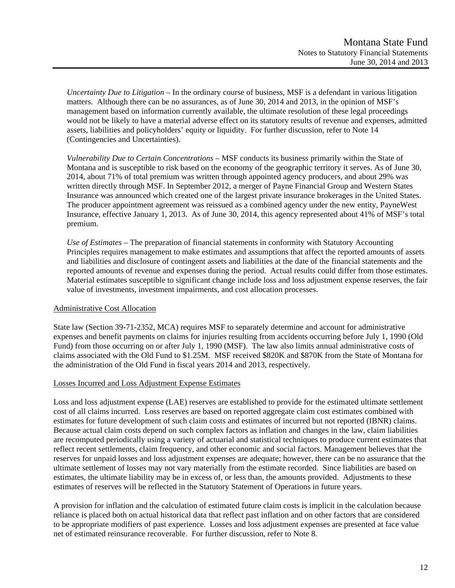*Uncertainty Due to Litigation* – In the ordinary course of business, MSF is a defendant in various litigation matters. Although there can be no assurances, as of June 30, 2014 and 2013, in the opinion of MSF's management based on information currently available, the ultimate resolution of these legal proceedings would not be likely to have a material adverse effect on its statutory results of revenue and expenses, admitted assets, liabilities and policyholders' equity or liquidity. For further discussion, refer to Note 14 (Contingencies and Uncertainties).

*Vulnerability Due to Certain Concentrations* – MSF conducts its business primarily within the State of Montana and is susceptible to risk based on the economy of the geographic territory it serves. As of June 30, 2014, about 71% of total premium was written through appointed agency producers, and about 29% was written directly through MSF. In September 2012, a merger of Payne Financial Group and Western States Insurance was announced which created one of the largest private insurance brokerages in the United States. The producer appointment agreement was reissued as a combined agency under the new entity, PayneWest Insurance, effective January 1, 2013. As of June 30, 2014, this agency represented about 41% of MSF's total premium.

*Use of Estimates –* The preparation of financial statements in conformity with Statutory Accounting Principles requires management to make estimates and assumptions that affect the reported amounts of assets and liabilities and disclosure of contingent assets and liabilities at the date of the financial statements and the reported amounts of revenue and expenses during the period. Actual results could differ from those estimates. Material estimates susceptible to significant change include loss and loss adjustment expense reserves, the fair value of investments, investment impairments, and cost allocation processes.

# Administrative Cost Allocation

State law (Section 39-71-2352, MCA) requires MSF to separately determine and account for administrative expenses and benefit payments on claims for injuries resulting from accidents occurring before July 1, 1990 (Old Fund) from those occurring on or after July 1, 1990 (MSF). The law also limits annual administrative costs of claims associated with the Old Fund to \$1.25M. MSF received \$820K and \$870K from the State of Montana for the administration of the Old Fund in fiscal years 2014 and 2013, respectively.

#### Losses Incurred and Loss Adjustment Expense Estimates

Loss and loss adjustment expense (LAE) reserves are established to provide for the estimated ultimate settlement cost of all claims incurred. Loss reserves are based on reported aggregate claim cost estimates combined with estimates for future development of such claim costs and estimates of incurred but not reported (IBNR) claims. Because actual claim costs depend on such complex factors as inflation and changes in the law, claim liabilities are recomputed periodically using a variety of actuarial and statistical techniques to produce current estimates that reflect recent settlements, claim frequency, and other economic and social factors. Management believes that the reserves for unpaid losses and loss adjustment expenses are adequate; however, there can be no assurance that the ultimate settlement of losses may not vary materially from the estimate recorded. Since liabilities are based on estimates, the ultimate liability may be in excess of, or less than, the amounts provided. Adjustments to these estimates of reserves will be reflected in the Statutory Statement of Operations in future years.

A provision for inflation and the calculation of estimated future claim costs is implicit in the calculation because reliance is placed both on actual historical data that reflect past inflation and on other factors that are considered to be appropriate modifiers of past experience. Losses and loss adjustment expenses are presented at face value net of estimated reinsurance recoverable. For further discussion, refer to Note 8.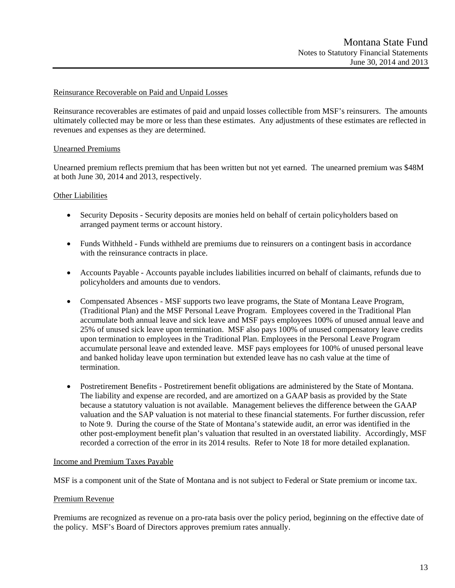#### Reinsurance Recoverable on Paid and Unpaid Losses

Reinsurance recoverables are estimates of paid and unpaid losses collectible from MSF's reinsurers. The amounts ultimately collected may be more or less than these estimates. Any adjustments of these estimates are reflected in revenues and expenses as they are determined.

#### Unearned Premiums

Unearned premium reflects premium that has been written but not yet earned. The unearned premium was \$48M at both June 30, 2014 and 2013, respectively.

#### **Other Liabilities**

- Security Deposits Security deposits are monies held on behalf of certain policyholders based on arranged payment terms or account history.
- Funds Withheld Funds withheld are premiums due to reinsurers on a contingent basis in accordance with the reinsurance contracts in place.
- Accounts Payable Accounts payable includes liabilities incurred on behalf of claimants, refunds due to policyholders and amounts due to vendors.
- Compensated Absences MSF supports two leave programs, the State of Montana Leave Program, (Traditional Plan) and the MSF Personal Leave Program. Employees covered in the Traditional Plan accumulate both annual leave and sick leave and MSF pays employees 100% of unused annual leave and 25% of unused sick leave upon termination. MSF also pays 100% of unused compensatory leave credits upon termination to employees in the Traditional Plan. Employees in the Personal Leave Program accumulate personal leave and extended leave. MSF pays employees for 100% of unused personal leave and banked holiday leave upon termination but extended leave has no cash value at the time of termination.
- Postretirement Benefits Postretirement benefit obligations are administered by the State of Montana. The liability and expense are recorded, and are amortized on a GAAP basis as provided by the State because a statutory valuation is not available. Management believes the difference between the GAAP valuation and the SAP valuation is not material to these financial statements. For further discussion, refer to Note 9. During the course of the State of Montana's statewide audit, an error was identified in the other post-employment benefit plan's valuation that resulted in an overstated liability. Accordingly, MSF recorded a correction of the error in its 2014 results. Refer to Note 18 for more detailed explanation.

#### Income and Premium Taxes Payable

MSF is a component unit of the State of Montana and is not subject to Federal or State premium or income tax.

#### Premium Revenue

Premiums are recognized as revenue on a pro-rata basis over the policy period, beginning on the effective date of the policy. MSF's Board of Directors approves premium rates annually.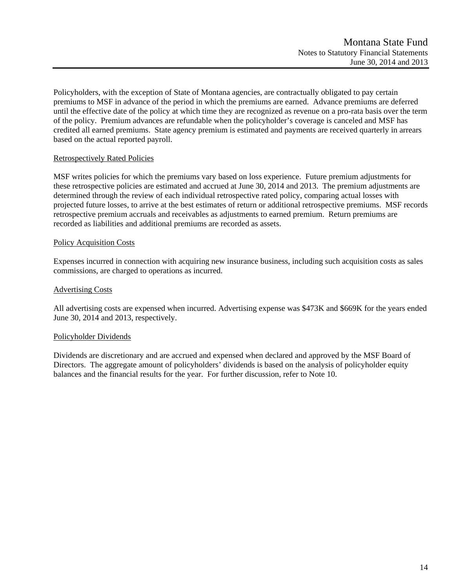Policyholders, with the exception of State of Montana agencies, are contractually obligated to pay certain premiums to MSF in advance of the period in which the premiums are earned. Advance premiums are deferred until the effective date of the policy at which time they are recognized as revenue on a pro-rata basis over the term of the policy. Premium advances are refundable when the policyholder's coverage is canceled and MSF has credited all earned premiums. State agency premium is estimated and payments are received quarterly in arrears based on the actual reported payroll.

### Retrospectively Rated Policies

MSF writes policies for which the premiums vary based on loss experience. Future premium adjustments for these retrospective policies are estimated and accrued at June 30, 2014 and 2013. The premium adjustments are determined through the review of each individual retrospective rated policy, comparing actual losses with projected future losses, to arrive at the best estimates of return or additional retrospective premiums. MSF records retrospective premium accruals and receivables as adjustments to earned premium. Return premiums are recorded as liabilities and additional premiums are recorded as assets.

### Policy Acquisition Costs

Expenses incurred in connection with acquiring new insurance business, including such acquisition costs as sales commissions, are charged to operations as incurred.

### Advertising Costs

All advertising costs are expensed when incurred. Advertising expense was \$473K and \$669K for the years ended June 30, 2014 and 2013, respectively.

#### Policyholder Dividends

Dividends are discretionary and are accrued and expensed when declared and approved by the MSF Board of Directors. The aggregate amount of policyholders' dividends is based on the analysis of policyholder equity balances and the financial results for the year. For further discussion, refer to Note 10.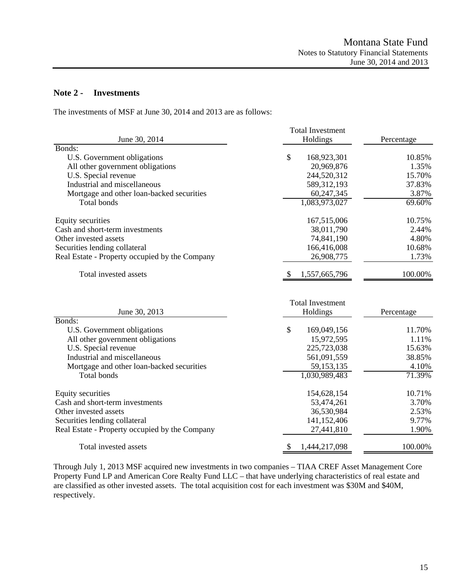# **Note 2 - Investments**

The investments of MSF at June 30, 2014 and 2013 are as follows:

|                                                | <b>Total Investment</b>             |            |
|------------------------------------------------|-------------------------------------|------------|
| June 30, 2014                                  | Holdings                            | Percentage |
| Bonds:                                         |                                     |            |
| U.S. Government obligations                    | \$<br>168,923,301                   | 10.85%     |
| All other government obligations               | 20,969,876                          | 1.35%      |
| U.S. Special revenue                           | 244,520,312                         | 15.70%     |
| Industrial and miscellaneous                   | 589,312,193                         | 37.83%     |
| Mortgage and other loan-backed securities      | 60,247,345                          | 3.87%      |
| Total bonds                                    | 1,083,973,027                       | 69.60%     |
| Equity securities                              | 167,515,006                         | 10.75%     |
| Cash and short-term investments                | 38,011,790                          | 2.44%      |
| Other invested assets                          | 74,841,190                          | 4.80%      |
| Securities lending collateral                  | 166,416,008                         | 10.68%     |
| Real Estate - Property occupied by the Company | 26,908,775                          | 1.73%      |
| Total invested assets                          | 1,557,665,796<br><sup>8</sup>       | 100.00%    |
| June 30, 2013                                  | <b>Total Investment</b><br>Holdings | Percentage |
| Bonds:                                         |                                     |            |
| U.S. Government obligations                    | \$<br>169,049,156                   | 11.70%     |
| All other government obligations               | 15,972,595                          | 1.11%      |
| U.S. Special revenue                           | 225,723,038                         | 15.63%     |
| Industrial and miscellaneous                   | 561,091,559                         | 38.85%     |
| Mortgage and other loan-backed securities      | 59, 153, 135                        | 4.10%      |
| <b>Total bonds</b>                             | 1,030,989,483                       | 71.39%     |
| Equity securities                              | 154,628,154                         | 10.71%     |
| Cash and short-term investments                | 53,474,261                          | 3.70%      |
| Other invested assets                          |                                     |            |
| Securities lending collateral                  | 36,530,984                          | 2.53%      |
|                                                | 141,152,406                         | 9.77%      |
| Real Estate - Property occupied by the Company | 27,441,810                          | 1.90%      |

Through July 1, 2013 MSF acquired new investments in two companies – TIAA CREF Asset Management Core Property Fund LP and American Core Realty Fund LLC – that have underlying characteristics of real estate and are classified as other invested assets. The total acquisition cost for each investment was \$30M and \$40M, respectively.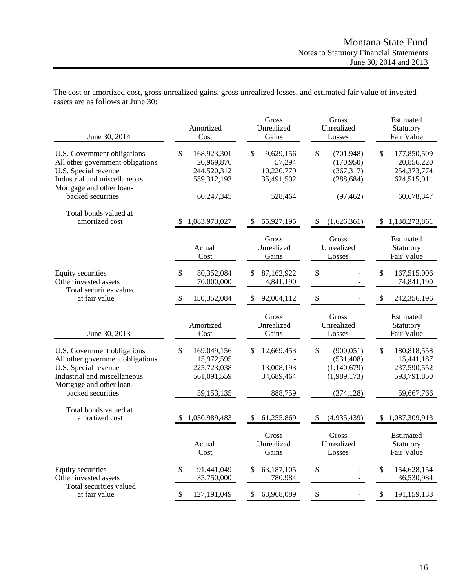| June 30, 2014                                                                                                                                                            | Amortized<br>Cost                                                           | Gross<br>Unrealized<br>Gains                            | Gross<br>Unrealized<br>Losses                                              | Estimated<br>Statutory<br>Fair Value                                        |
|--------------------------------------------------------------------------------------------------------------------------------------------------------------------------|-----------------------------------------------------------------------------|---------------------------------------------------------|----------------------------------------------------------------------------|-----------------------------------------------------------------------------|
| U.S. Government obligations<br>All other government obligations<br>U.S. Special revenue<br>Industrial and miscellaneous<br>Mortgage and other loan-                      | \$<br>168,923,301<br>20,969,876<br>244,520,312<br>589,312,193               | \$<br>9,629,156<br>57,294<br>10,220,779<br>35,491,502   | \$<br>(701, 948)<br>(170, 950)<br>(367, 317)<br>(288, 684)                 | \$<br>177,850,509<br>20,856,220<br>254,373,774<br>624,515,011               |
| backed securities                                                                                                                                                        | 60,247,345                                                                  | 528,464                                                 | (97, 462)                                                                  | 60,678,347                                                                  |
| Total bonds valued at<br>amortized cost                                                                                                                                  | 1,083,973,027                                                               | 55,927,195<br>\$                                        | (1,626,361)<br>\$                                                          | 1,138,273,861<br>-S                                                         |
|                                                                                                                                                                          | Actual<br>Cost                                                              | Gross<br>Unrealized<br>Gains                            | Gross<br>Unrealized<br>Losses                                              | Estimated<br>Statutory<br>Fair Value                                        |
| <b>Equity securities</b><br>Other invested assets                                                                                                                        | \$<br>80,352,084<br>70,000,000                                              | 87,162,922<br>\$<br>4,841,190                           | \$                                                                         | \$<br>167,515,006<br>74,841,190                                             |
| Total securities valued<br>at fair value                                                                                                                                 | <sup>\$</sup><br>150,352,084                                                | 92,004,112<br>\$.                                       | \$                                                                         | \$<br>242,356,196                                                           |
| June 30, 2013                                                                                                                                                            | Amortized<br>Cost                                                           | Gross<br>Unrealized<br>Gains                            | Gross<br>Unrealized<br>Losses                                              | Estimated<br>Statutory<br>Fair Value                                        |
| U.S. Government obligations<br>All other government obligations<br>U.S. Special revenue<br>Industrial and miscellaneous<br>Mortgage and other loan-<br>backed securities | \$<br>169,049,156<br>15,972,595<br>225,723,038<br>561,091,559<br>59,153,135 | \$<br>12,669,453<br>13,008,193<br>34,689,464<br>888,759 | \$<br>(900, 051)<br>(531, 408)<br>(1,140,679)<br>(1,989,173)<br>(374, 128) | \$<br>180,818,558<br>15,441,187<br>237,590,552<br>593,791,850<br>59,667,766 |
| Total bonds valued at<br>amortized cost                                                                                                                                  | 1,030,989,483                                                               | \$<br>61,255,869                                        | (4,935,439)<br>S                                                           | 1,087,309,913                                                               |
|                                                                                                                                                                          | Actual<br>Cost                                                              | Gross<br>Unrealized<br>Gains                            | Gross<br>Unrealized<br>Losses                                              | Estimated<br>Statutory<br>Fair Value                                        |
| Equity securities<br>Other invested assets                                                                                                                               | 91,441,049<br>\$<br>35,750,000                                              | 63,187,105<br>\$<br>780,984                             | \$                                                                         | \$<br>154,628,154<br>36,530,984                                             |
| Total securities valued<br>at fair value                                                                                                                                 | \$<br>127,191,049                                                           | \$<br>63,968,089                                        | \$                                                                         | \$<br>191,159,138                                                           |

The cost or amortized cost, gross unrealized gains, gross unrealized losses, and estimated fair value of invested assets are as follows at June 30: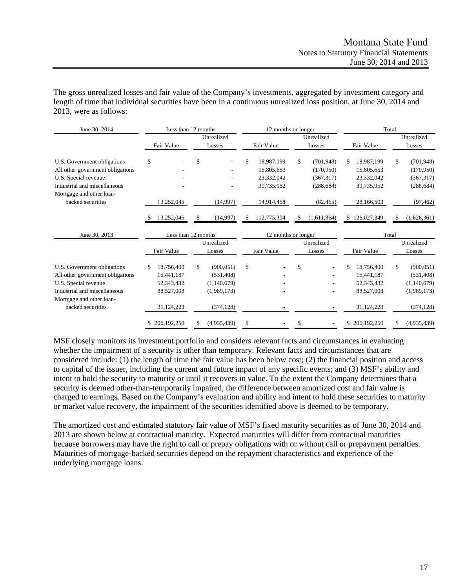The gross unrealized losses and fair value of the Company's investments, aggregated by investment category and length of time that individual securities have been in a continuous unrealized loss position, at June 30, 2014 and 2013, were as follows:

| June 30, 2014                                            |            | Less than 12 months |                      | 12 months or longer |                      |    |             | Total |                      |
|----------------------------------------------------------|------------|---------------------|----------------------|---------------------|----------------------|----|-------------|-------|----------------------|
|                                                          | Fair Value |                     | Unrealized<br>Losses | Fair Value          | Unrealized<br>Losses |    | Fair Value  |       | Unrealized<br>Losses |
| U.S. Government obligations                              | \$         |                     | \$                   | \$<br>18,987,199    | \$<br>(701, 948)     | \$ | 18,987,199  | \$    | (701, 948)           |
| All other government obligations                         |            |                     |                      | 15,805,653          | (170,950)            |    | 15,805,653  |       | (170,950)            |
| U.S. Special revenue                                     |            |                     |                      | 23,332,042          | (367,317)            |    | 23,332,042  |       | (367, 317)           |
| Industrial and miscellaneous<br>Mortgage and other loan- |            |                     |                      | 39,735,952          | (288, 684)           |    | 39,735,952  |       | (288, 684)           |
| backed securities                                        |            | 13,252,045          | (14,997)             | 14,914,458          | (82, 465)            |    | 28,166,503  |       | (97, 462)            |
|                                                          |            | 13,252,045          | \$<br>(14,997)       | 112,775,304         | \$<br>(1,611,364)    | S. | 126,027,349 | S     | (1,626,361)          |
| June 30, 2013                                            |            | Less than 12 months |                      | 12 months or longer |                      |    |             | Total |                      |
|                                                          |            |                     | Unrealized           |                     | Unrealized           |    |             |       | Unrealized           |
|                                                          | Fair Value |                     | Losses               | Fair Value          | Losses               |    | Fair Value  |       | Losses               |
| U.S. Government obligations                              |            | 18,756,400          | \$<br>(900, 051)     | \$                  | \$                   | \$ | 18,756,400  | \$    | (900, 051)           |
| All other government obligations                         |            | 15,441,187          | (531, 408)           |                     |                      |    | 15,441,187  |       | (531, 408)           |
| U.S. Special revenue                                     |            | 52,343,432          | (1,140,679)          |                     |                      |    | 52,343,432  |       | (1,140,679)          |
| Industrial and miscellaneous                             |            | 88,527,008          | (1,989,173)          |                     |                      |    | 88,527,008  |       | (1,989,173)          |
| Mortgage and other loan-                                 |            |                     |                      |                     |                      |    |             |       |                      |
| backed securities                                        |            | 31,124,223          | (374, 128)           |                     |                      |    | 31,124,223  |       | (374, 128)           |
|                                                          |            | 206, 192, 250       | (4,935,439)          | \$                  | \$                   |    | 206,192,250 |       | (4,935,439)          |

MSF closely monitors its investment portfolio and considers relevant facts and circumstances in evaluating whether the impairment of a security is other than temporary. Relevant facts and circumstances that are considered include: (1) the length of time the fair value has been below cost; (2) the financial position and access to capital of the issuer, including the current and future impact of any specific events; and (3) MSF's ability and intent to hold the security to maturity or until it recovers in value. To the extent the Company determines that a security is deemed other-than-temporarily impaired, the difference between amortized cost and fair value is charged to earnings. Based on the Company's evaluation and ability and intent to hold these securities to maturity or market value recovery, the impairment of the securities identified above is deemed to be temporary.

The amortized cost and estimated statutory fair value of MSF's fixed maturity securities as of June 30, 2014 and 2013 are shown below at contractual maturity. Expected maturities will differ from contractual maturities because borrowers may have the right to call or prepay obligations with or without call or prepayment penalties. Maturities of mortgage-backed securities depend on the repayment characteristics and experience of the underlying mortgage loans.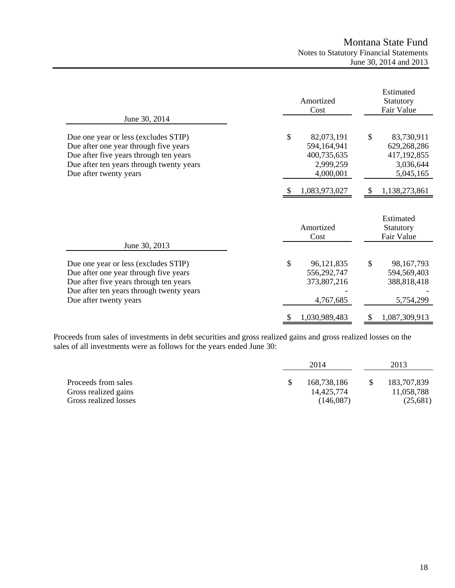|                                                                                                                                                                                               | Amortized<br>Cost                                                        | Estimated<br>Statutory<br>Fair Value                                     |  |  |
|-----------------------------------------------------------------------------------------------------------------------------------------------------------------------------------------------|--------------------------------------------------------------------------|--------------------------------------------------------------------------|--|--|
| June 30, 2014                                                                                                                                                                                 |                                                                          |                                                                          |  |  |
| Due one year or less (excludes STIP)<br>Due after one year through five years<br>Due after five years through ten years<br>Due after ten years through twenty years<br>Due after twenty years | \$<br>82,073,191<br>594,164,941<br>400,735,635<br>2,999,259<br>4,000,001 | \$<br>83,730,911<br>629,268,286<br>417,192,855<br>3,036,644<br>5,045,165 |  |  |
|                                                                                                                                                                                               | 1,083,973,027                                                            | 1,138,273,861                                                            |  |  |
|                                                                                                                                                                                               | Amortized<br>Cost                                                        | Estimated<br>Statutory<br>Fair Value                                     |  |  |
| June 30, 2013                                                                                                                                                                                 |                                                                          |                                                                          |  |  |
| Due one year or less (excludes STIP)<br>Due after one year through five years<br>Due after five years through ten years<br>Due after ten years through twenty years<br>Due after twenty years | \$<br>96,121,835<br>556,292,747<br>373,807,216<br>4,767,685              | \$<br>98, 167, 793<br>594,569,403<br>388,818,418<br>5,754,299            |  |  |
|                                                                                                                                                                                               | 1,030,989,483<br>\$                                                      | \$<br>1,087,309,913                                                      |  |  |

Proceeds from sales of investments in debt securities and gross realized gains and gross realized losses on the sales of all investments were as follows for the years ended June 30:

|                                                                      | 2014                                   | 2013 |                                       |  |
|----------------------------------------------------------------------|----------------------------------------|------|---------------------------------------|--|
| Proceeds from sales<br>Gross realized gains<br>Gross realized losses | 168,738,186<br>14.425.774<br>(146,087) |      | 183,707,839<br>11,058,788<br>(25,681) |  |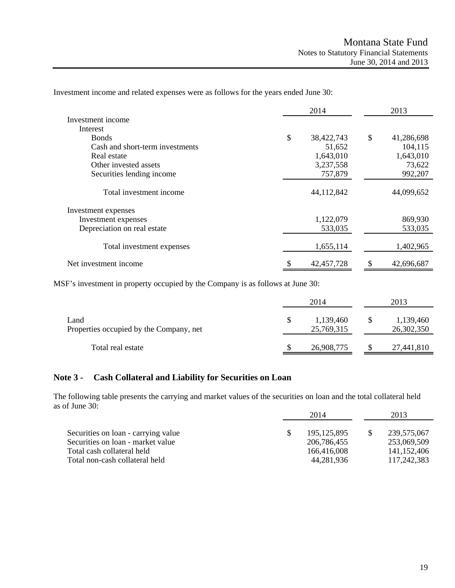|                                 | 2014             | 2013             |
|---------------------------------|------------------|------------------|
| Investment income               |                  |                  |
| Interest                        |                  |                  |
| <b>Bonds</b>                    | \$<br>38,422,743 | \$<br>41,286,698 |
| Cash and short-term investments | 51,652           | 104,115          |
| Real estate                     | 1,643,010        | 1,643,010        |
| Other invested assets           | 3,237,558        | 73,622           |
| Securities lending income       | 757,879          | 992,207          |
| Total investment income         | 44,112,842       | 44,099,652       |
| Investment expenses             |                  |                  |
| Investment expenses             | 1,122,079        | 869,930          |
| Depreciation on real estate     | 533,035          | 533,035          |
| Total investment expenses       | 1,655,114        | 1,402,965        |
| Net investment income           | 42, 457, 728     | 42,696,687<br>\$ |

Investment income and related expenses were as follows for the years ended June 30:

MSF's investment in property occupied by the Company is as follows at June 30:

|                                                 |                              | 2014       | 2013                    |
|-------------------------------------------------|------------------------------|------------|-------------------------|
| Land<br>Properties occupied by the Company, net | 1,139,460<br>S<br>25,769,315 |            | 1,139,460<br>26,302,350 |
| Total real estate                               |                              | 26,908,775 | 27,441,810              |

# **Note 3 - Cash Collateral and Liability for Securities on Loan**

The following table presents the carrying and market values of the securities on loan and the total collateral held as of June 30:

|                                     | 2014 |               | 2013        |
|-------------------------------------|------|---------------|-------------|
|                                     |      |               |             |
| Securities on loan - carrying value |      | 195, 125, 895 | 239,575,067 |
| Securities on loan - market value   |      | 206,786,455   | 253,069,509 |
| Total cash collateral held          |      | 166,416,008   | 141.152.406 |
| Total non-cash collateral held      |      | 44,281,936    | 117,242,383 |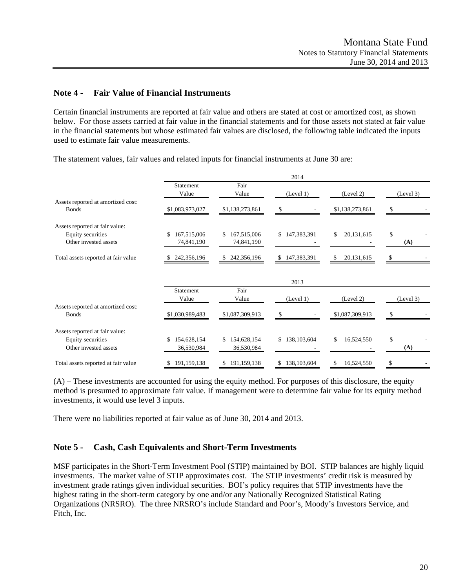### **Note 4 - Fair Value of Financial Instruments**

Certain financial instruments are reported at fair value and others are stated at cost or amortized cost, as shown below. For those assets carried at fair value in the financial statements and for those assets not stated at fair value in the financial statements but whose estimated fair values are disclosed, the following table indicated the inputs used to estimate fair value measurements.

|                                                    |                    |                   | 2014             |                    |           |
|----------------------------------------------------|--------------------|-------------------|------------------|--------------------|-----------|
|                                                    | Statement<br>Value | Fair<br>Value     | (Level 1)        | (Level 2)          | (Level 3) |
| Assets reported at amortized cost:<br><b>Bonds</b> | \$1,083,973,027    | \$1,138,273,861   | \$               | \$1,138,273,861    | \$        |
|                                                    |                    |                   |                  |                    |           |
| Assets reported at fair value:                     |                    |                   |                  |                    |           |
| Equity securities                                  | 167,515,006<br>\$  | 167,515,006<br>\$ | \$147,383,391    | 20,131,615<br>\$   | \$        |
| Other invested assets                              | 74,841,190         | 74,841,190        |                  |                    | (A)       |
| Total assets reported at fair value                | 242,356,196        | 242,356,196       | 147,383,391<br>S | 20, 131, 615<br>\$ | £.        |
|                                                    |                    |                   | 2013             |                    |           |
|                                                    | Statement          | Fair              |                  |                    |           |
|                                                    | Value              | Value             | (Level 1)        | (Level 2)          | (Level 3) |
| Assets reported at amortized cost:                 |                    |                   |                  |                    |           |
| <b>Bonds</b>                                       | \$1,030,989,483    | \$1,087,309,913   | S                | \$1,087,309,913    |           |
| Assets reported at fair value:                     |                    |                   |                  |                    |           |
| Equity securities                                  | 154,628,154<br>\$  | \$154,628,154     | \$138,103,604    | 16,524,550<br>\$   | \$        |
| Other invested assets                              | 36,530,984         | 36,530,984        |                  |                    | (A)       |
| Total assets reported at fair value                | \$191,159,138      | \$191,159,138     | \$138,103,604    | 16,524,550<br>\$   | \$        |

The statement values, fair values and related inputs for financial instruments at June 30 are:

(A) – These investments are accounted for using the equity method. For purposes of this disclosure, the equity method is presumed to approximate fair value. If management were to determine fair value for its equity method investments, it would use level 3 inputs.

There were no liabilities reported at fair value as of June 30, 2014 and 2013.

#### **Note 5 - Cash, Cash Equivalents and Short-Term Investments**

MSF participates in the Short-Term Investment Pool (STIP) maintained by BOI. STIP balances are highly liquid investments. The market value of STIP approximates cost. The STIP investments' credit risk is measured by investment grade ratings given individual securities. BOI's policy requires that STIP investments have the highest rating in the short-term category by one and/or any Nationally Recognized Statistical Rating Organizations (NRSRO). The three NRSRO's include Standard and Poor's, Moody's Investors Service, and Fitch, Inc.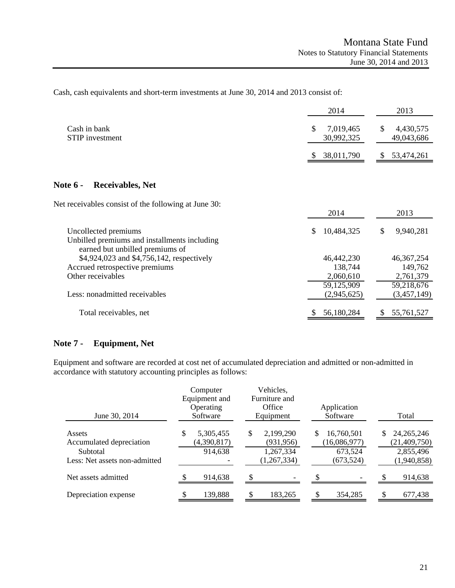Cash, cash equivalents and short-term investments at June 30, 2014 and 2013 consist of:

|                                                                                                         | 2014                          | 2013                          |
|---------------------------------------------------------------------------------------------------------|-------------------------------|-------------------------------|
| Cash in bank<br><b>STIP</b> investment                                                                  | \$<br>7,019,465<br>30,992,325 | \$<br>4,430,575<br>49,043,686 |
|                                                                                                         | 38,011,790                    | 53,474,261                    |
| <b>Note 6 -</b><br><b>Receivables, Net</b>                                                              |                               |                               |
| Net receivables consist of the following at June 30:                                                    | 2014                          | 2013                          |
| Uncollected premiums<br>Unbilled premiums and installments including<br>earned but unbilled premiums of | 10,484,325<br>S               | \$<br>9,940,281               |
| \$4,924,023 and \$4,756,142, respectively                                                               | 46,442,230                    | 46, 367, 254                  |
| Accrued retrospective premiums                                                                          | 138,744                       | 149,762                       |
| Other receivables                                                                                       | 2,060,610                     | 2,761,379                     |
|                                                                                                         | 59,125,909                    | 59,218,676                    |
| Less: nonadmitted receivables                                                                           | (2,945,625)                   | (3,457,149)                   |
| Total receivables, net                                                                                  | 56,180,284                    | 55,761,527<br>S               |

# **Note 7 - Equipment, Net**

Equipment and software are recorded at cost net of accumulated depreciation and admitted or non-admitted in accordance with statutory accounting principles as follows:

| June 30, 2014                                                                   | Computer<br>Equipment and<br>Operating<br>Software | Vehicles,<br>Furniture and<br>Office<br>Equipment           | Application<br>Software                                   | Total                                                           |
|---------------------------------------------------------------------------------|----------------------------------------------------|-------------------------------------------------------------|-----------------------------------------------------------|-----------------------------------------------------------------|
| Assets<br>Accumulated depreciation<br>Subtotal<br>Less: Net assets non-admitted | 5,305,455<br>S<br>(4,390,817)<br>914,638           | \$<br>2,199,290<br>(931, 956)<br>1,267,334<br>(1, 267, 334) | 16,760,501<br>S.<br>(16,086,977)<br>673,524<br>(673, 524) | 24, 265, 246<br>S<br>(21, 409, 750)<br>2,855,496<br>(1,940,858) |
| Net assets admitted                                                             | 914,638                                            |                                                             |                                                           | 914,638                                                         |
| Depreciation expense                                                            | 139,888                                            | 183,265                                                     | 354,285                                                   | 677,438                                                         |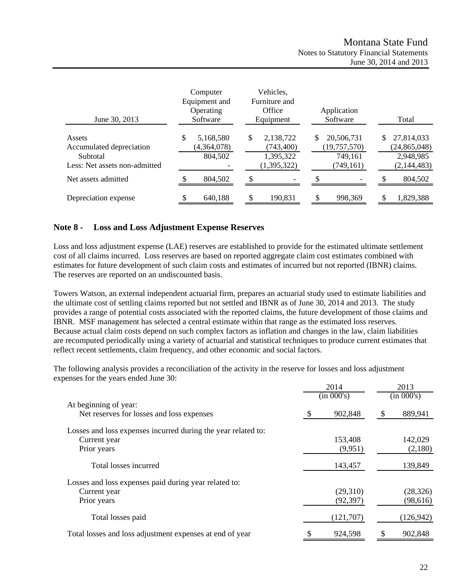| June 30, 2013                                                                   | Computer<br>Equipment and<br>Operating<br>Software | Vehicles,<br>Furniture and<br>Office<br>Equipment         | Application<br>Software                                     | Total                                                            |
|---------------------------------------------------------------------------------|----------------------------------------------------|-----------------------------------------------------------|-------------------------------------------------------------|------------------------------------------------------------------|
| Assets<br>Accumulated depreciation<br>Subtotal<br>Less: Net assets non-admitted | \$<br>5,168,580<br>(4,364,078)<br>804,502          | \$<br>2,138,722<br>(743, 400)<br>1,395,322<br>(1,395,322) | \$<br>20,506,731<br>(19, 757, 570)<br>749,161<br>(749, 161) | \$<br>27,814,033<br>(24, 865, 048)<br>2,948,985<br>(2, 144, 483) |
| Net assets admitted                                                             | 804.502                                            |                                                           |                                                             | 804,502                                                          |
| Depreciation expense                                                            | 640,188                                            | 190,831                                                   | 998,369                                                     | 1,829,388                                                        |

# **Note 8 - Loss and Loss Adjustment Expense Reserves**

Loss and loss adjustment expense (LAE) reserves are established to provide for the estimated ultimate settlement cost of all claims incurred. Loss reserves are based on reported aggregate claim cost estimates combined with estimates for future development of such claim costs and estimates of incurred but not reported (IBNR) claims. The reserves are reported on an undiscounted basis.

Towers Watson, an external independent actuarial firm, prepares an actuarial study used to estimate liabilities and the ultimate cost of settling claims reported but not settled and IBNR as of June 30, 2014 and 2013. The study provides a range of potential costs associated with the reported claims, the future development of those claims and IBNR. MSF management has selected a central estimate within that range as the estimated loss reserves. Because actual claim costs depend on such complex factors as inflation and changes in the law, claim liabilities are recomputed periodically using a variety of actuarial and statistical techniques to produce current estimates that reflect recent settlements, claim frequency, and other economic and social factors.

The following analysis provides a reconciliation of the activity in the reserve for losses and loss adjustment expenses for the years ended June 30:

|                                                                    | 2014 |            |    | 2013       |  |
|--------------------------------------------------------------------|------|------------|----|------------|--|
|                                                                    |      | (in 000's) |    | (in 000's) |  |
| At beginning of year:<br>Net reserves for losses and loss expenses | \$.  | 902,848    | S  | 889,941    |  |
|                                                                    |      |            |    |            |  |
| Losses and loss expenses incurred during the year related to:      |      |            |    |            |  |
| Current year                                                       |      | 153,408    |    | 142,029    |  |
| Prior years                                                        |      | (9,951)    |    | (2,180)    |  |
| Total losses incurred                                              |      | 143,457    |    | 139,849    |  |
| Losses and loss expenses paid during year related to:              |      |            |    |            |  |
| Current year                                                       |      | (29,310)   |    | (28, 326)  |  |
| Prior years                                                        |      | (92, 397)  |    | (98, 616)  |  |
| Total losses paid                                                  |      | (121,707)  |    | (126, 942) |  |
| Total losses and loss adjustment expenses at end of year           | \$   | 924,598    | \$ | 902,848    |  |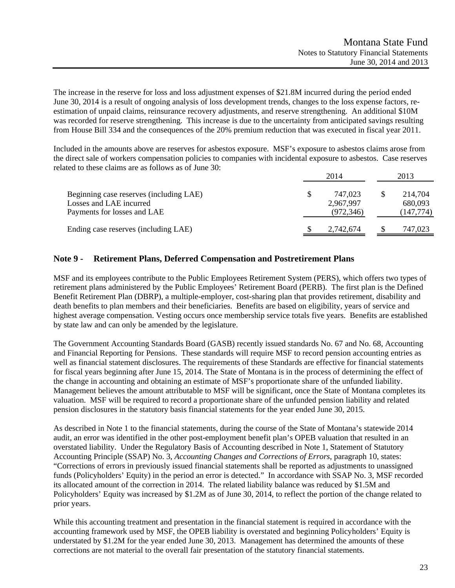The increase in the reserve for loss and loss adjustment expenses of \$21.8M incurred during the period ended June 30, 2014 is a result of ongoing analysis of loss development trends, changes to the loss expense factors, reestimation of unpaid claims, reinsurance recovery adjustments, and reserve strengthening. An additional \$10M was recorded for reserve strengthening. This increase is due to the uncertainty from anticipated savings resulting from House Bill 334 and the consequences of the 20% premium reduction that was executed in fiscal year 2011.

Included in the amounts above are reserves for asbestos exposure. MSF's exposure to asbestos claims arose from the direct sale of workers compensation policies to companies with incidental exposure to asbestos. Case reserves related to these claims are as follows as of June 30:

|                                                                                                   | 2014 |                                    | 2013                             |  |
|---------------------------------------------------------------------------------------------------|------|------------------------------------|----------------------------------|--|
| Beginning case reserves (including LAE)<br>Losses and LAE incurred<br>Payments for losses and LAE |      | 747.023<br>2,967,997<br>(972, 346) | 214.704<br>680,093<br>(147, 774) |  |
| Ending case reserves (including LAE)                                                              |      | 2,742,674                          | 747,023                          |  |

# **Note 9 - Retirement Plans, Deferred Compensation and Postretirement Plans**

MSF and its employees contribute to the Public Employees Retirement System (PERS), which offers two types of retirement plans administered by the Public Employees' Retirement Board (PERB). The first plan is the Defined Benefit Retirement Plan (DBRP), a multiple-employer, cost-sharing plan that provides retirement, disability and death benefits to plan members and their beneficiaries. Benefits are based on eligibility, years of service and highest average compensation. Vesting occurs once membership service totals five years. Benefits are established by state law and can only be amended by the legislature.

The Government Accounting Standards Board (GASB) recently issued standards No. 67 and No. 68, Accounting and Financial Reporting for Pensions. These standards will require MSF to record pension accounting entries as well as financial statement disclosures. The requirements of these Standards are effective for financial statements for fiscal years beginning after June 15, 2014. The State of Montana is in the process of determining the effect of the change in accounting and obtaining an estimate of MSF's proportionate share of the unfunded liability. Management believes the amount attributable to MSF will be significant, once the State of Montana completes its valuation. MSF will be required to record a proportionate share of the unfunded pension liability and related pension disclosures in the statutory basis financial statements for the year ended June 30, 2015.

As described in Note 1 to the financial statements, during the course of the State of Montana's statewide 2014 audit, an error was identified in the other post-employment benefit plan's OPEB valuation that resulted in an overstated liability. Under the Regulatory Basis of Accounting described in Note 1, Statement of Statutory Accounting Principle (SSAP) No. 3, *Accounting Changes and Corrections of Errors*, paragraph 10, states: "Corrections of errors in previously issued financial statements shall be reported as adjustments to unassigned funds (Policyholders' Equity) in the period an error is detected." In accordance with SSAP No. 3, MSF recorded its allocated amount of the correction in 2014. The related liability balance was reduced by \$1.5M and Policyholders' Equity was increased by \$1.2M as of June 30, 2014, to reflect the portion of the change related to prior years.

While this accounting treatment and presentation in the financial statement is required in accordance with the accounting framework used by MSF, the OPEB liability is overstated and beginning Policyholders' Equity is understated by \$1.2M for the year ended June 30, 2013. Management has determined the amounts of these corrections are not material to the overall fair presentation of the statutory financial statements.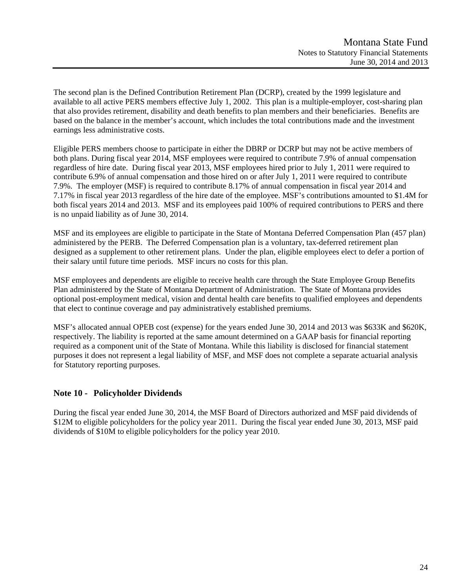The second plan is the Defined Contribution Retirement Plan (DCRP), created by the 1999 legislature and available to all active PERS members effective July 1, 2002. This plan is a multiple-employer, cost-sharing plan that also provides retirement, disability and death benefits to plan members and their beneficiaries. Benefits are based on the balance in the member's account, which includes the total contributions made and the investment earnings less administrative costs.

Eligible PERS members choose to participate in either the DBRP or DCRP but may not be active members of both plans. During fiscal year 2014, MSF employees were required to contribute 7.9% of annual compensation regardless of hire date. During fiscal year 2013, MSF employees hired prior to July 1, 2011 were required to contribute 6.9% of annual compensation and those hired on or after July 1, 2011 were required to contribute 7.9%. The employer (MSF) is required to contribute 8.17% of annual compensation in fiscal year 2014 and 7.17% in fiscal year 2013 regardless of the hire date of the employee. MSF's contributions amounted to \$1.4M for both fiscal years 2014 and 2013. MSF and its employees paid 100% of required contributions to PERS and there is no unpaid liability as of June 30, 2014.

MSF and its employees are eligible to participate in the State of Montana Deferred Compensation Plan (457 plan) administered by the PERB. The Deferred Compensation plan is a voluntary, tax-deferred retirement plan designed as a supplement to other retirement plans. Under the plan, eligible employees elect to defer a portion of their salary until future time periods. MSF incurs no costs for this plan.

MSF employees and dependents are eligible to receive health care through the State Employee Group Benefits Plan administered by the State of Montana Department of Administration. The State of Montana provides optional post-employment medical, vision and dental health care benefits to qualified employees and dependents that elect to continue coverage and pay administratively established premiums.

MSF's allocated annual OPEB cost (expense) for the years ended June 30, 2014 and 2013 was \$633K and \$620K, respectively. The liability is reported at the same amount determined on a GAAP basis for financial reporting required as a component unit of the State of Montana. While this liability is disclosed for financial statement purposes it does not represent a legal liability of MSF, and MSF does not complete a separate actuarial analysis for Statutory reporting purposes.

# **Note 10 - Policyholder Dividends**

During the fiscal year ended June 30, 2014, the MSF Board of Directors authorized and MSF paid dividends of \$12M to eligible policyholders for the policy year 2011. During the fiscal year ended June 30, 2013, MSF paid dividends of \$10M to eligible policyholders for the policy year 2010.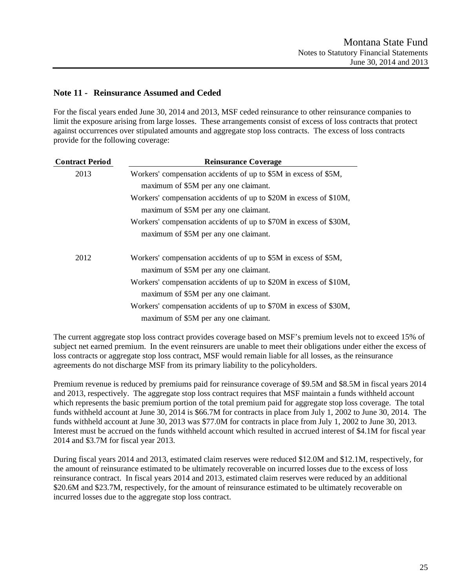# **Note 11 - Reinsurance Assumed and Ceded**

For the fiscal years ended June 30, 2014 and 2013, MSF ceded reinsurance to other reinsurance companies to limit the exposure arising from large losses. These arrangements consist of excess of loss contracts that protect against occurrences over stipulated amounts and aggregate stop loss contracts. The excess of loss contracts provide for the following coverage:

| <b>Contract Period</b> | <b>Reinsurance Coverage</b>                                        |
|------------------------|--------------------------------------------------------------------|
| 2013                   | Workers' compensation accidents of up to \$5M in excess of \$5M,   |
|                        | maximum of \$5M per any one claimant.                              |
|                        | Workers' compensation accidents of up to \$20M in excess of \$10M, |
|                        | maximum of \$5M per any one claimant.                              |
|                        | Workers' compensation accidents of up to \$70M in excess of \$30M, |
|                        | maximum of \$5M per any one claimant.                              |
| 2012                   | Workers' compensation accidents of up to \$5M in excess of \$5M,   |
|                        | maximum of \$5M per any one claimant.                              |
|                        | Workers' compensation accidents of up to \$20M in excess of \$10M, |
|                        | maximum of \$5M per any one claimant.                              |
|                        | Workers' compensation accidents of up to \$70M in excess of \$30M, |
|                        | maximum of \$5M per any one claimant.                              |

The current aggregate stop loss contract provides coverage based on MSF's premium levels not to exceed 15% of subject net earned premium. In the event reinsurers are unable to meet their obligations under either the excess of loss contracts or aggregate stop loss contract, MSF would remain liable for all losses, as the reinsurance agreements do not discharge MSF from its primary liability to the policyholders.

Premium revenue is reduced by premiums paid for reinsurance coverage of \$9.5M and \$8.5M in fiscal years 2014 and 2013, respectively. The aggregate stop loss contract requires that MSF maintain a funds withheld account which represents the basic premium portion of the total premium paid for aggregate stop loss coverage. The total funds withheld account at June 30, 2014 is \$66.7M for contracts in place from July 1, 2002 to June 30, 2014. The funds withheld account at June 30, 2013 was \$77.0M for contracts in place from July 1, 2002 to June 30, 2013. Interest must be accrued on the funds withheld account which resulted in accrued interest of \$4.1M for fiscal year 2014 and \$3.7M for fiscal year 2013.

During fiscal years 2014 and 2013, estimated claim reserves were reduced \$12.0M and \$12.1M, respectively, for the amount of reinsurance estimated to be ultimately recoverable on incurred losses due to the excess of loss reinsurance contract. In fiscal years 2014 and 2013, estimated claim reserves were reduced by an additional \$20.6M and \$23.7M, respectively, for the amount of reinsurance estimated to be ultimately recoverable on incurred losses due to the aggregate stop loss contract.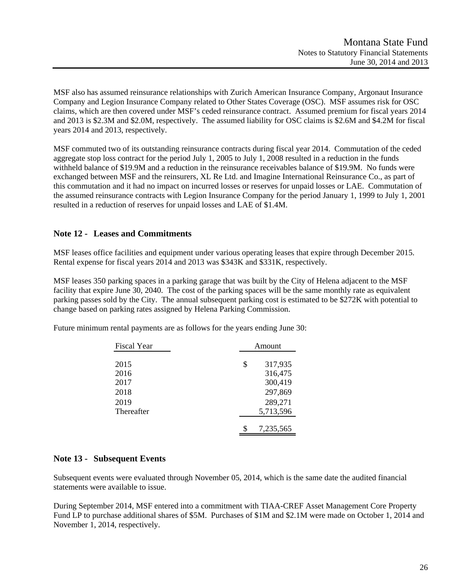MSF also has assumed reinsurance relationships with Zurich American Insurance Company, Argonaut Insurance Company and Legion Insurance Company related to Other States Coverage (OSC). MSF assumes risk for OSC claims, which are then covered under MSF's ceded reinsurance contract. Assumed premium for fiscal years 2014 and 2013 is \$2.3M and \$2.0M, respectively. The assumed liability for OSC claims is \$2.6M and \$4.2M for fiscal years 2014 and 2013, respectively.

MSF commuted two of its outstanding reinsurance contracts during fiscal year 2014. Commutation of the ceded aggregate stop loss contract for the period July 1, 2005 to July 1, 2008 resulted in a reduction in the funds withheld balance of \$19.9M and a reduction in the reinsurance receivables balance of \$19.9M. No funds were exchanged between MSF and the reinsurers, XL Re Ltd. and Imagine International Reinsurance Co., as part of this commutation and it had no impact on incurred losses or reserves for unpaid losses or LAE. Commutation of the assumed reinsurance contracts with Legion Insurance Company for the period January 1, 1999 to July 1, 2001 resulted in a reduction of reserves for unpaid losses and LAE of \$1.4M.

# **Note 12 - Leases and Commitments**

MSF leases office facilities and equipment under various operating leases that expire through December 2015. Rental expense for fiscal years 2014 and 2013 was \$343K and \$331K, respectively.

MSF leases 350 parking spaces in a parking garage that was built by the City of Helena adjacent to the MSF facility that expire June 30, 2040. The cost of the parking spaces will be the same monthly rate as equivalent parking passes sold by the City. The annual subsequent parking cost is estimated to be \$272K with potential to change based on parking rates assigned by Helena Parking Commission.

| <b>Fiscal Year</b> | Amount        |
|--------------------|---------------|
|                    |               |
| 2015               | \$<br>317,935 |
| 2016               | 316,475       |
| 2017               | 300,419       |
| 2018               | 297,869       |
| 2019               | 289,271       |
| Thereafter         | 5,713,596     |
|                    |               |
|                    | 7,235,565     |

Future minimum rental payments are as follows for the years ending June 30:

# **Note 13 - Subsequent Events**

Subsequent events were evaluated through November 05, 2014, which is the same date the audited financial statements were available to issue.

During September 2014, MSF entered into a commitment with TIAA-CREF Asset Management Core Property Fund LP to purchase additional shares of \$5M. Purchases of \$1M and \$2.1M were made on October 1, 2014 and November 1, 2014, respectively.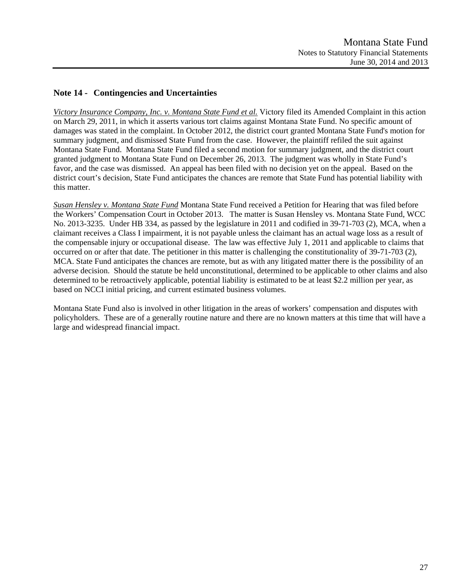# **Note 14 - Contingencies and Uncertainties**

*Victory Insurance Company, Inc. v. Montana State Fund et al.* Victory filed its Amended Complaint in this action on March 29, 2011, in which it asserts various tort claims against Montana State Fund. No specific amount of damages was stated in the complaint. In October 2012, the district court granted Montana State Fund's motion for summary judgment, and dismissed State Fund from the case. However, the plaintiff refiled the suit against Montana State Fund. Montana State Fund filed a second motion for summary judgment, and the district court granted judgment to Montana State Fund on December 26, 2013. The judgment was wholly in State Fund's favor, and the case was dismissed. An appeal has been filed with no decision yet on the appeal. Based on the district court's decision, State Fund anticipates the chances are remote that State Fund has potential liability with this matter.

*Susan Hensley v. Montana State Fund* Montana State Fund received a Petition for Hearing that was filed before the Workers' Compensation Court in October 2013. The matter is Susan Hensley vs. Montana State Fund, WCC No. 2013-3235. Under HB 334, as passed by the legislature in 2011 and codified in 39-71-703 (2), MCA, when a claimant receives a Class I impairment, it is not payable unless the claimant has an actual wage loss as a result of the compensable injury or occupational disease. The law was effective July 1, 2011 and applicable to claims that occurred on or after that date. The petitioner in this matter is challenging the constitutionality of 39-71-703 (2), MCA. State Fund anticipates the chances are remote, but as with any litigated matter there is the possibility of an adverse decision. Should the statute be held unconstitutional, determined to be applicable to other claims and also determined to be retroactively applicable, potential liability is estimated to be at least \$2.2 million per year, as based on NCCI initial pricing, and current estimated business volumes.

Montana State Fund also is involved in other litigation in the areas of workers' compensation and disputes with policyholders. These are of a generally routine nature and there are no known matters at this time that will have a large and widespread financial impact.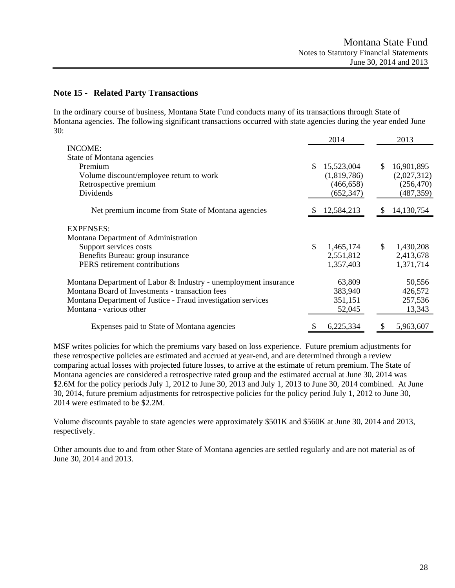# **Note 15 - Related Party Transactions**

In the ordinary course of business, Montana State Fund conducts many of its transactions through State of Montana agencies. The following significant transactions occurred with state agencies during the year ended June 30:

|                                                                 |               | 2014        |    | 2013        |
|-----------------------------------------------------------------|---------------|-------------|----|-------------|
| <b>INCOME:</b>                                                  |               |             |    |             |
| State of Montana agencies                                       |               |             |    |             |
| Premium                                                         | <sup>\$</sup> | 15,523,004  | \$ | 16,901,895  |
| Volume discount/employee return to work                         |               | (1,819,786) |    | (2,027,312) |
| Retrospective premium                                           |               | (466, 658)  |    | (256, 470)  |
| Dividends                                                       |               | (652, 347)  |    | (487, 359)  |
| Net premium income from State of Montana agencies               |               | 12,584,213  | Ж  | 14,130,754  |
| <b>EXPENSES:</b>                                                |               |             |    |             |
| Montana Department of Administration                            |               |             |    |             |
| Support services costs                                          | \$            | 1,465,174   | \$ | 1,430,208   |
| Benefits Bureau: group insurance                                |               | 2,551,812   |    | 2,413,678   |
| PERS retirement contributions                                   |               | 1,357,403   |    | 1,371,714   |
| Montana Department of Labor & Industry - unemployment insurance |               | 63,809      |    | 50,556      |
| Montana Board of Investments - transaction fees                 |               | 383,940     |    | 426,572     |
| Montana Department of Justice - Fraud investigation services    |               | 351,151     |    | 257,536     |
| Montana - various other                                         |               | 52,045      |    | 13,343      |
| Expenses paid to State of Montana agencies                      |               | 6,225,334   |    | 5,963,607   |

MSF writes policies for which the premiums vary based on loss experience. Future premium adjustments for these retrospective policies are estimated and accrued at year-end, and are determined through a review comparing actual losses with projected future losses, to arrive at the estimate of return premium. The State of Montana agencies are considered a retrospective rated group and the estimated accrual at June 30, 2014 was \$2.6M for the policy periods July 1, 2012 to June 30, 2013 and July 1, 2013 to June 30, 2014 combined. At June 30, 2014, future premium adjustments for retrospective policies for the policy period July 1, 2012 to June 30, 2014 were estimated to be \$2.2M.

Volume discounts payable to state agencies were approximately \$501K and \$560K at June 30, 2014 and 2013, respectively.

Other amounts due to and from other State of Montana agencies are settled regularly and are not material as of June 30, 2014 and 2013.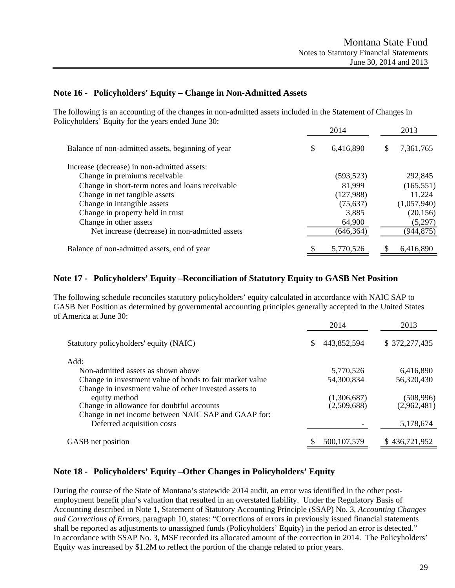# **Note 16 - Policyholders' Equity – Change in Non-Admitted Assets**

The following is an accounting of the changes in non-admitted assets included in the Statement of Changes in Policyholders' Equity for the years ended June 30:

|                                                   | 2014            |   | 2013        |
|---------------------------------------------------|-----------------|---|-------------|
| Balance of non-admitted assets, beginning of year | \$<br>6,416,890 | S | 7,361,765   |
| Increase (decrease) in non-admitted assets:       |                 |   |             |
| Change in premiums receivable                     | (593, 523)      |   | 292,845     |
| Change in short-term notes and loans receivable   | 81,999          |   | (165, 551)  |
| Change in net tangible assets                     | (127,988)       |   | 11,224      |
| Change in intangible assets                       | (75, 637)       |   | (1,057,940) |
| Change in property held in trust                  | 3,885           |   | (20, 156)   |
| Change in other assets                            | 64,900          |   | (5,297)     |
| Net increase (decrease) in non-admitted assets    | (646, 364)      |   | (944, 875)  |
| Balance of non-admitted assets, end of year       | 5,770,526       |   | 6,416,890   |

# **Note 17 - Policyholders' Equity –Reconciliation of Statutory Equity to GASB Net Position**

The following schedule reconciles statutory policyholders' equity calculated in accordance with NAIC SAP to GASB Net Position as determined by governmental accounting principles generally accepted in the United States of America at June 30:

|                                                          | 2014                         | 2013          |
|----------------------------------------------------------|------------------------------|---------------|
| Statutory policyholders' equity (NAIC)                   | 443,852,594<br><sup>\$</sup> | \$372,277,435 |
| Add:                                                     |                              |               |
| Non-admitted assets as shown above                       | 5,770,526                    | 6,416,890     |
| Change in investment value of bonds to fair market value | 54,300,834                   | 56,320,430    |
| Change in investment value of other invested assets to   |                              |               |
| equity method                                            | (1,306,687)                  | (508,996)     |
| Change in allowance for doubtful accounts                | (2,509,688)                  | (2,962,481)   |
| Change in net income between NAIC SAP and GAAP for:      |                              |               |
| Deferred acquisition costs                               |                              | 5,178,674     |
| GASB net position                                        | 500, 107, 579                | \$436,721,952 |
|                                                          |                              |               |

# **Note 18 - Policyholders' Equity –Other Changes in Policyholders' Equity**

During the course of the State of Montana's statewide 2014 audit, an error was identified in the other postemployment benefit plan's valuation that resulted in an overstated liability. Under the Regulatory Basis of Accounting described in Note 1, Statement of Statutory Accounting Principle (SSAP) No. 3, *Accounting Changes and Corrections of Errors*, paragraph 10, states: "Corrections of errors in previously issued financial statements shall be reported as adjustments to unassigned funds (Policyholders' Equity) in the period an error is detected." In accordance with SSAP No. 3, MSF recorded its allocated amount of the correction in 2014. The Policyholders' Equity was increased by \$1.2M to reflect the portion of the change related to prior years.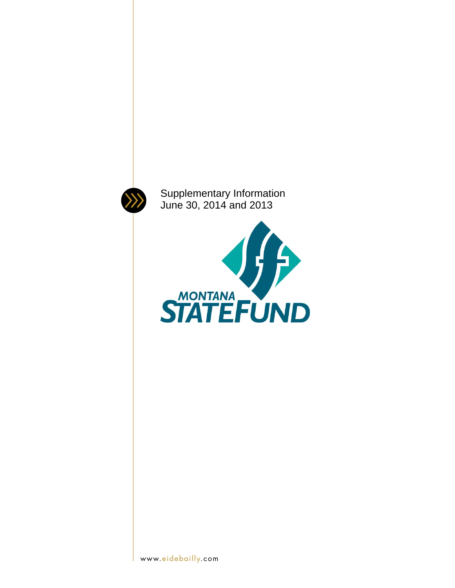

Supplementary Information June 30, 2014 and 2013

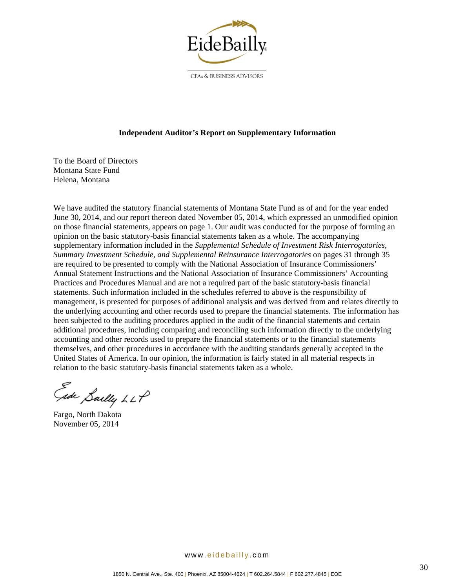

CPAs & BUSINESS ADVISORS

### **Independent Auditor's Report on Supplementary Information**

To the Board of Directors Montana State Fund Helena, Montana

We have audited the statutory financial statements of Montana State Fund as of and for the year ended June 30, 2014, and our report thereon dated November 05, 2014, which expressed an unmodified opinion on those financial statements, appears on page 1. Our audit was conducted for the purpose of forming an opinion on the basic statutory-basis financial statements taken as a whole. The accompanying supplementary information included in the *Supplemental Schedule of Investment Risk Interrogatories*, *Summary Investment Schedule, and Supplemental Reinsurance Interrogatories* on pages 31 through 35 are required to be presented to comply with the National Association of Insurance Commissioners' Annual Statement Instructions and the National Association of Insurance Commissioners' Accounting Practices and Procedures Manual and are not a required part of the basic statutory-basis financial statements. Such information included in the schedules referred to above is the responsibility of management, is presented for purposes of additional analysis and was derived from and relates directly to the underlying accounting and other records used to prepare the financial statements. The information has been subjected to the auditing procedures applied in the audit of the financial statements and certain additional procedures, including comparing and reconciling such information directly to the underlying accounting and other records used to prepare the financial statements or to the financial statements themselves, and other procedures in accordance with the auditing standards generally accepted in the United States of America. In our opinion, the information is fairly stated in all material respects in relation to the basic statutory-basis financial statements taken as a whole.

Ede Saelly LLP

Fargo, North Dakota November 05, 2014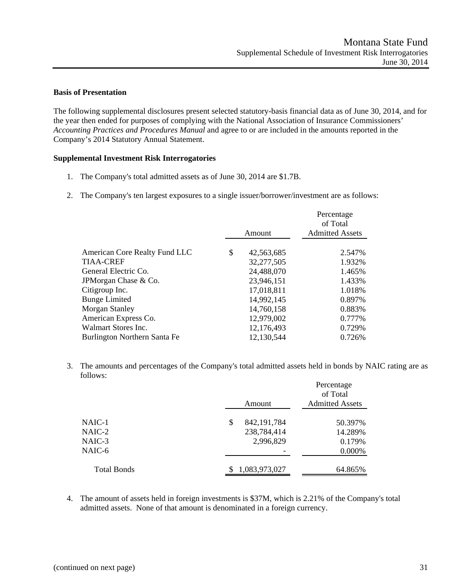#### **Basis of Presentation**

The following supplemental disclosures present selected statutory-basis financial data as of June 30, 2014, and for the year then ended for purposes of complying with the National Association of Insurance Commissioners' *Accounting Practices and Procedures Manual* and agree to or are included in the amounts reported in the Company's 2014 Statutory Annual Statement.

#### **Supplemental Investment Risk Interrogatories**

- 1. The Company's total admitted assets as of June 30, 2014 are \$1.7B.
- 2. The Company's ten largest exposures to a single issuer/borrower/investment are as follows:

|                               | Amount           | Percentage<br>of Total<br><b>Admitted Assets</b> |
|-------------------------------|------------------|--------------------------------------------------|
|                               |                  |                                                  |
| American Core Realty Fund LLC | \$<br>42,563,685 | 2.547%                                           |
| TIAA-CREF                     | 32,277,505       | 1.932%                                           |
| General Electric Co.          | 24,488,070       | 1.465%                                           |
| JPMorgan Chase & Co.          | 23,946,151       | 1.433%                                           |
| Citigroup Inc.                | 17,018,811       | 1.018%                                           |
| <b>Bunge Limited</b>          | 14,992,145       | 0.897%                                           |
| Morgan Stanley                | 14,760,158       | 0.883%                                           |
| American Express Co.          | 12,979,002       | 0.777%                                           |
| Walmart Stores Inc.           | 12,176,493       | 0.729%                                           |
| Burlington Northern Santa Fe  | 12,130,544       | 0.726%                                           |
|                               |                  |                                                  |

3. The amounts and percentages of the Company's total admitted assets held in bonds by NAIC rating are as follows:

|                    | Amount             | Percentage<br>of Total<br><b>Admitted Assets</b> |  |  |
|--------------------|--------------------|--------------------------------------------------|--|--|
|                    |                    |                                                  |  |  |
| NAIC-1             | 842, 191, 784<br>S | 50.397%                                          |  |  |
| NAIC-2             | 238,784,414        | 14.289%                                          |  |  |
| NAIC-3             | 2,996,829          | 0.179%                                           |  |  |
| NAIC-6             |                    | 0.000%                                           |  |  |
| <b>Total Bonds</b> | 1,083,973,027      | 64.865%                                          |  |  |
|                    |                    |                                                  |  |  |

4. The amount of assets held in foreign investments is \$37M, which is 2.21% of the Company's total admitted assets. None of that amount is denominated in a foreign currency.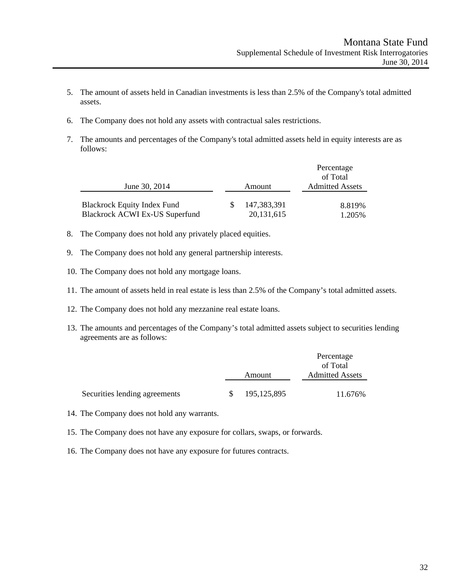- 5. The amount of assets held in Canadian investments is less than 2.5% of the Company's total admitted assets.
- 6. The Company does not hold any assets with contractual sales restrictions.
- 7. The amounts and percentages of the Company's total admitted assets held in equity interests are as follows:

|                                    |  |              | Percentage             |  |  |
|------------------------------------|--|--------------|------------------------|--|--|
|                                    |  |              | of Total               |  |  |
| June 30, 2014                      |  | Amount       | <b>Admitted Assets</b> |  |  |
| <b>Blackrock Equity Index Fund</b> |  | 147,383,391  | 8.819%                 |  |  |
| Blackrock ACWI Ex-US Superfund     |  | 20, 131, 615 | 1.205%                 |  |  |

- 8. The Company does not hold any privately placed equities.
- 9. The Company does not hold any general partnership interests.
- 10. The Company does not hold any mortgage loans.
- 11. The amount of assets held in real estate is less than 2.5% of the Company's total admitted assets.
- 12. The Company does not hold any mezzanine real estate loans.
- 13. The amounts and percentages of the Company's total admitted assets subject to securities lending agreements are as follows:

|                               |               | Percentage<br>of Total |  |  |
|-------------------------------|---------------|------------------------|--|--|
|                               |               |                        |  |  |
|                               | Amount        | <b>Admitted Assets</b> |  |  |
|                               |               |                        |  |  |
| Securities lending agreements | 195, 125, 895 | 11.676%                |  |  |

- 14. The Company does not hold any warrants.
- 15. The Company does not have any exposure for collars, swaps, or forwards.
- 16. The Company does not have any exposure for futures contracts.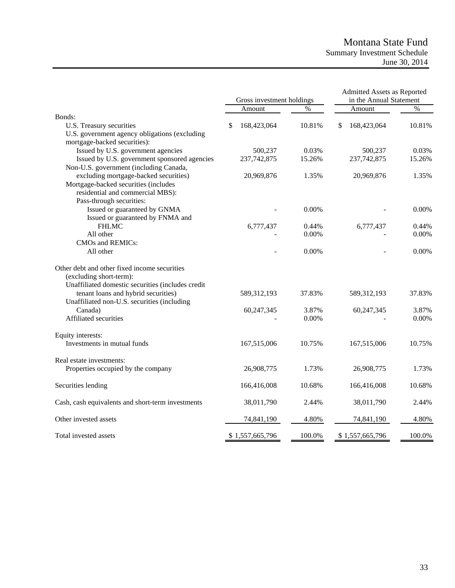# Montana State Fund Summary Investment Schedule June 30, 2014

|                                                   | Gross investment holdings |                 | Admitted Assets as Reported<br>in the Annual Statement |    |                 |        |
|---------------------------------------------------|---------------------------|-----------------|--------------------------------------------------------|----|-----------------|--------|
|                                                   |                           | Amount          | $\%$                                                   |    | Amount          | $\%$   |
| Bonds:                                            |                           |                 |                                                        |    |                 |        |
| U.S. Treasury securities                          | S                         | 168,423,064     | 10.81%                                                 | \$ | 168,423,064     | 10.81% |
| U.S. government agency obligations (excluding     |                           |                 |                                                        |    |                 |        |
| mortgage-backed securities):                      |                           |                 |                                                        |    |                 |        |
| Issued by U.S. government agencies                |                           | 500,237         | 0.03%                                                  |    | 500,237         | 0.03%  |
| Issued by U.S. government sponsored agencies      |                           | 237,742,875     | 15.26%                                                 |    | 237,742,875     | 15.26% |
| Non-U.S. government (including Canada,            |                           |                 |                                                        |    |                 |        |
| excluding mortgage-backed securities)             |                           | 20,969,876      | 1.35%                                                  |    | 20,969,876      | 1.35%  |
| Mortgage-backed securities (includes              |                           |                 |                                                        |    |                 |        |
| residential and commercial MBS):                  |                           |                 |                                                        |    |                 |        |
| Pass-through securities:                          |                           |                 |                                                        |    |                 |        |
| Issued or guaranteed by GNMA                      |                           |                 | 0.00%                                                  |    |                 | 0.00%  |
| Issued or guaranteed by FNMA and                  |                           |                 |                                                        |    |                 |        |
| <b>FHLMC</b>                                      |                           | 6,777,437       | 0.44%                                                  |    | 6,777,437       | 0.44%  |
| All other                                         |                           |                 | 0.00%                                                  |    |                 | 0.00%  |
| CMOs and REMICs:                                  |                           |                 |                                                        |    |                 |        |
| All other                                         |                           |                 | 0.00%                                                  |    |                 | 0.00%  |
| Other debt and other fixed income securities      |                           |                 |                                                        |    |                 |        |
| (excluding short-term):                           |                           |                 |                                                        |    |                 |        |
| Unaffiliated domestic securities (includes credit |                           |                 |                                                        |    |                 |        |
| tenant loans and hybrid securities)               |                           | 589,312,193     | 37.83%                                                 |    | 589,312,193     | 37.83% |
| Unaffiliated non-U.S. securities (including       |                           |                 |                                                        |    |                 |        |
| Canada)                                           |                           | 60,247,345      | 3.87%                                                  |    | 60,247,345      | 3.87%  |
| Affiliated securities                             |                           |                 | 0.00%                                                  |    |                 | 0.00%  |
| Equity interests:                                 |                           |                 |                                                        |    |                 |        |
| Investments in mutual funds                       |                           | 167,515,006     | 10.75%                                                 |    | 167,515,006     | 10.75% |
| Real estate investments:                          |                           |                 |                                                        |    |                 |        |
| Properties occupied by the company                |                           | 26,908,775      | 1.73%                                                  |    | 26,908,775      | 1.73%  |
| Securities lending                                |                           | 166,416,008     | 10.68%                                                 |    | 166,416,008     | 10.68% |
| Cash, cash equivalents and short-term investments |                           | 38,011,790      | 2.44%                                                  |    | 38,011,790      | 2.44%  |
| Other invested assets                             |                           | 74,841,190      | 4.80%                                                  |    | 74,841,190      | 4.80%  |
| Total invested assets                             |                           | \$1,557,665,796 | 100.0%                                                 |    | \$1,557,665,796 | 100.0% |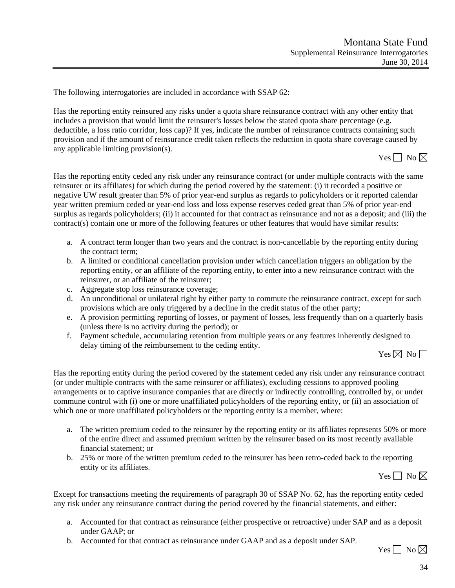The following interrogatories are included in accordance with SSAP 62:

Has the reporting entity reinsured any risks under a quota share reinsurance contract with any other entity that includes a provision that would limit the reinsurer's losses below the stated quota share percentage (e.g. deductible, a loss ratio corridor, loss cap)? If yes, indicate the number of reinsurance contracts containing such provision and if the amount of reinsurance credit taken reflects the reduction in quota share coverage caused by any applicable limiting provision(s).

Yes  $\Box$  No  $\boxtimes$ 

Has the reporting entity ceded any risk under any reinsurance contract (or under multiple contracts with the same reinsurer or its affiliates) for which during the period covered by the statement: (i) it recorded a positive or negative UW result greater than 5% of prior year-end surplus as regards to policyholders or it reported calendar year written premium ceded or year-end loss and loss expense reserves ceded great than 5% of prior year-end surplus as regards policyholders; (ii) it accounted for that contract as reinsurance and not as a deposit; and (iii) the contract(s) contain one or more of the following features or other features that would have similar results:

- a. A contract term longer than two years and the contract is non-cancellable by the reporting entity during the contract term;
- b. A limited or conditional cancellation provision under which cancellation triggers an obligation by the reporting entity, or an affiliate of the reporting entity, to enter into a new reinsurance contract with the reinsurer, or an affiliate of the reinsurer;
- c. Aggregate stop loss reinsurance coverage;
- d. An unconditional or unilateral right by either party to commute the reinsurance contract, except for such provisions which are only triggered by a decline in the credit status of the other party;
- e. A provision permitting reporting of losses, or payment of losses, less frequently than on a quarterly basis (unless there is no activity during the period); or
- f. Payment schedule, accumulating retention from multiple years or any features inherently designed to delay timing of the reimbursement to the ceding entity.

Yes  $\boxtimes$  No  $\Box$ 

Has the reporting entity during the period covered by the statement ceded any risk under any reinsurance contract (or under multiple contracts with the same reinsurer or affiliates), excluding cessions to approved pooling arrangements or to captive insurance companies that are directly or indirectly controlling, controlled by, or under commune control with (i) one or more unaffiliated policyholders of the reporting entity, or (ii) an association of which one or more unaffiliated policyholders or the reporting entity is a member, where:

- a. The written premium ceded to the reinsurer by the reporting entity or its affiliates represents 50% or more of the entire direct and assumed premium written by the reinsurer based on its most recently available financial statement; or
- b. 25% or more of the written premium ceded to the reinsurer has been retro-ceded back to the reporting entity or its affiliates.

Yes  $\Box$  No  $\boxtimes$ 

Except for transactions meeting the requirements of paragraph 30 of SSAP No. 62, has the reporting entity ceded any risk under any reinsurance contract during the period covered by the financial statements, and either:

- a. Accounted for that contract as reinsurance (either prospective or retroactive) under SAP and as a deposit under GAAP; or
- b. Accounted for that contract as reinsurance under GAAP and as a deposit under SAP.

Yes  $\Box$  No  $\boxtimes$